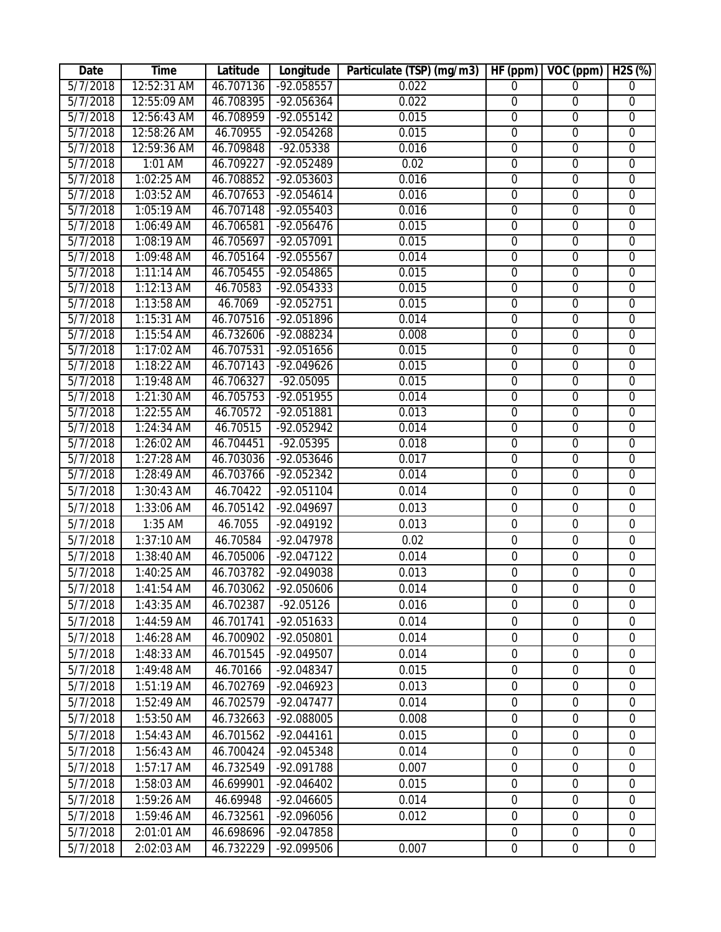| Date                 | Time                     | Latitude               | Longitude                   | Particulate (TSP) (mg/m3) | HF (ppm)                         | VOC (ppm)                     | $H2S$ (%)                          |
|----------------------|--------------------------|------------------------|-----------------------------|---------------------------|----------------------------------|-------------------------------|------------------------------------|
| 5/7/2018             | 12:52:31 AM              | 46.707136              | $-92.058557$                | 0.022                     | 0                                | $\Omega$                      | 0                                  |
| 5/7/2018             | 12:55:09 AM              | 46.708395              | $-92.056364$                | 0.022                     | $\overline{0}$                   | $\overline{0}$                | $\overline{0}$                     |
| 5/7/2018             | 12:56:43 AM              | 46.708959              | $-92.055142$                | 0.015                     | 0                                | $\overline{0}$                | $\overline{0}$                     |
| 5/7/2018             | 12:58:26 AM              | 46.70955               | $-92.054268$                | 0.015                     | $\overline{0}$                   | $\overline{0}$                | $\overline{0}$                     |
| 5/7/2018             | 12:59:36 AM              | 46.709848              | $-92.05338$                 | 0.016                     | $\overline{0}$                   | $\overline{0}$                | $\overline{0}$                     |
| 5/7/2018             | 1:01 AM                  | 46.709227              | $-92.052489$                | 0.02                      | $\overline{0}$                   | $\mathbf 0$                   | $\overline{0}$                     |
| 5/7/2018             | 1:02:25 AM               | 46.708852              | $-92.053603$                | 0.016                     | $\overline{0}$                   | $\overline{0}$                | $\overline{0}$                     |
| 5/7/2018             | 1:03:52 AM               | 46.707653              | $-92.054614$                | 0.016                     | 0                                | $\overline{0}$                | $\overline{0}$                     |
| 5/7/2018             | 1:05:19 AM               | 46.707148              | $-92.055403$                | 0.016                     | $\overline{0}$                   | $\overline{0}$                | $\overline{0}$                     |
| 5/7/2018             | 1:06:49 AM               | 46.706581              | $-92.056476$                | 0.015                     | $\overline{0}$                   | $\overline{0}$                | $\overline{0}$                     |
| 5/7/2018             | 1:08:19 AM               | 46.705697              | $-92.057091$                | 0.015                     | $\overline{0}$                   | $\mathbf 0$                   | $\overline{0}$                     |
| 5/7/2018             | 1:09:48 AM               | 46.705164              | $-92.055567$                | 0.014                     | $\overline{0}$                   | $\overline{0}$                | $\overline{0}$                     |
| 5/7/2018             | $1:11:14$ AM             | 46.705455              | $-92.054865$                | 0.015                     | $\overline{0}$                   | $\overline{0}$                | $\overline{0}$                     |
| 5/7/2018             | $1:12:13$ AM             | 46.70583               | $-92.054333$                | 0.015                     | $\overline{0}$                   | $\overline{0}$                | $\overline{0}$                     |
| 5/7/2018             | 1:13:58 AM               | 46.7069                | $-92.052751$                | 0.015                     | $\overline{0}$                   | $\overline{0}$                | $\overline{0}$                     |
| 5/7/2018             | $1:15:31$ AM             | 46.707516              | $-92.051896$                | 0.014                     | $\overline{0}$                   | $\mathbf 0$                   | $\boldsymbol{0}$                   |
| 5/7/2018             | $1:15:54$ AM             | 46.732606              | $-92.088234$                | 0.008                     | $\overline{0}$                   | $\overline{0}$                | $\overline{0}$                     |
| 5/7/2018             | 1:17:02 AM               | 46.707531              | $-92.051656$                | 0.015                     | $\overline{0}$                   | $\overline{0}$                | $\overline{0}$                     |
| 5/7/2018             | 1:18:22 AM               | 46.707143              | $-92.049626$                | 0.015                     | $\overline{0}$                   | $\overline{0}$                | $\overline{0}$                     |
| 5/7/2018<br>5/7/2018 | 1:19:48 AM               | 46.706327<br>46.705753 | $-92.05095$<br>$-92.051955$ | 0.015<br>0.014            | $\overline{0}$<br>$\overline{0}$ | $\overline{0}$                | $\overline{0}$                     |
| 5/7/2018             | 1:21:30 AM<br>1:22:55 AM | 46.70572               | $-92.051881$                | 0.013                     | $\overline{0}$                   | $\mathbf 0$<br>$\overline{0}$ | $\boldsymbol{0}$<br>$\overline{0}$ |
| 5/7/2018             | 1:24:34 AM               | 46.70515               | $-92.052942$                | 0.014                     | $\overline{0}$                   | $\overline{0}$                | $\overline{0}$                     |
| 5/7/2018             | $1:26:02$ AM             | 46.704451              | $-92.05395$                 | 0.018                     | $\overline{0}$                   | $\overline{0}$                | $\overline{0}$                     |
| 5/7/2018             | $1:27:28$ AM             | 46.703036              | $-92.053646$                | 0.017                     | $\overline{0}$                   | $\overline{0}$                | $\overline{0}$                     |
| 5/7/2018             | 1:28:49 AM               | 46.703766              | -92.052342                  | 0.014                     | $\overline{0}$                   | $\overline{0}$                | $\overline{0}$                     |
| 5/7/2018             | 1:30:43 AM               | 46.70422               | $-92.051104$                | 0.014                     | $\mathbf 0$                      | $\mathbf 0$                   | $\mathbf 0$                        |
| 5/7/2018             | 1:33:06 AM               | 46.705142              | -92.049697                  | 0.013                     | $\boldsymbol{0}$                 | $\boldsymbol{0}$              | $\boldsymbol{0}$                   |
| 5/7/2018             | 1:35 AM                  | 46.7055                | -92.049192                  | 0.013                     | $\mathbf 0$                      | $\mathbf 0$                   | $\boldsymbol{0}$                   |
| 5/7/2018             | 1:37:10 AM               | 46.70584               | -92.047978                  | 0.02                      | $\mathbf 0$                      | $\mathbf 0$                   | $\mathbf 0$                        |
| 5/7/2018             | 1:38:40 AM               | 46.705006              | $-92.047122$                | 0.014                     | $\mathbf 0$                      | $\mathbf 0$                   | $\boldsymbol{0}$                   |
| 5/7/2018             | 1:40:25 AM               | 46.703782              | -92.049038                  |                           | $\mathbf 0$                      | $\mathbf 0$                   |                                    |
|                      |                          |                        |                             | 0.013                     | $\boldsymbol{0}$                 | $\boldsymbol{0}$              | 0                                  |
| 5/7/2018             | $1:41:54$ AM             | 46.703062              | -92.050606                  | 0.014                     |                                  | $\Omega$                      | $\boldsymbol{0}$                   |
| 5/7/2018             | 1:43:35 AM               | 46.702387              | $-92.05126$                 | 0.016                     | $\overline{0}$                   |                               | 0                                  |
| 5/7/2018             | 1:44:59 AM               | 46.701741              | $-92.051633$                | 0.014                     | 0                                | $\mathbf 0$                   | 0                                  |
| 5/7/2018<br>5/7/2018 | 1:46:28 AM               | 46.700902              | -92.050801                  | 0.014                     | $\mathbf 0$<br>$\mathbf 0$       | $\mathbf 0$<br>$\mathbf 0$    | $\boldsymbol{0}$<br>0              |
|                      | 1:48:33 AM               | 46.701545              | -92.049507                  | 0.014                     |                                  |                               |                                    |
| 5/7/2018             | 1:49:48 AM               | 46.70166               | -92.048347                  | 0.015                     | $\boldsymbol{0}$                 | $\boldsymbol{0}$              | $\boldsymbol{0}$                   |
| 5/7/2018             | 1:51:19 AM               | 46.702769              | -92.046923                  | 0.013                     | $\boldsymbol{0}$                 | $\mathbf 0$                   | $\boldsymbol{0}$                   |
| 5/7/2018             | 1:52:49 AM               | 46.702579              | $-92.047477$                | 0.014                     | $\mathbf 0$                      | $\mathbf 0$                   | $\mathbf 0$                        |
| 5/7/2018             | 1:53:50 AM               | 46.732663              | -92.088005                  | 0.008                     | $\mathbf 0$                      | $\overline{0}$                | $\boldsymbol{0}$                   |
| 5/7/2018             | 1:54:43 AM               | 46.701562              | $-92.044161$                | 0.015                     | $\boldsymbol{0}$                 | $\boldsymbol{0}$              | $\boldsymbol{0}$                   |
| 5/7/2018             | 1:56:43 AM               | 46.700424              | -92.045348                  | 0.014                     | $\mathbf 0$                      | $\mathbf 0$                   | $\mathbf 0$                        |
| 5/7/2018             | 1:57:17 AM               | 46.732549              | -92.091788                  | 0.007                     | 0                                | $\mathbf 0$                   | $\mathbf 0$                        |
| 5/7/2018             | 1:58:03 AM               | 46.699901              | $-92.046402$                | 0.015                     | $\boldsymbol{0}$                 | $\mathbf 0$                   | $\boldsymbol{0}$                   |
| 5/7/2018             | 1:59:26 AM               | 46.69948               | $-92.046605$                | 0.014                     | $\mathbf 0$                      | $\mathbf 0$                   | $\boldsymbol{0}$                   |
| 5/7/2018             | 1:59:46 AM               | 46.732561              | -92.096056                  | 0.012                     | $\mathbf 0$                      | $\overline{0}$                | 0                                  |
| 5/7/2018             | 2:01:01 AM               | 46.698696              | -92.047858                  |                           | $\boldsymbol{0}$                 | $\boldsymbol{0}$              | $\boldsymbol{0}$                   |
| 5/7/2018             | 2:02:03 AM               | 46.732229              | -92.099506                  | 0.007                     | $\boldsymbol{0}$                 | $\mathbf 0$                   | $\boldsymbol{0}$                   |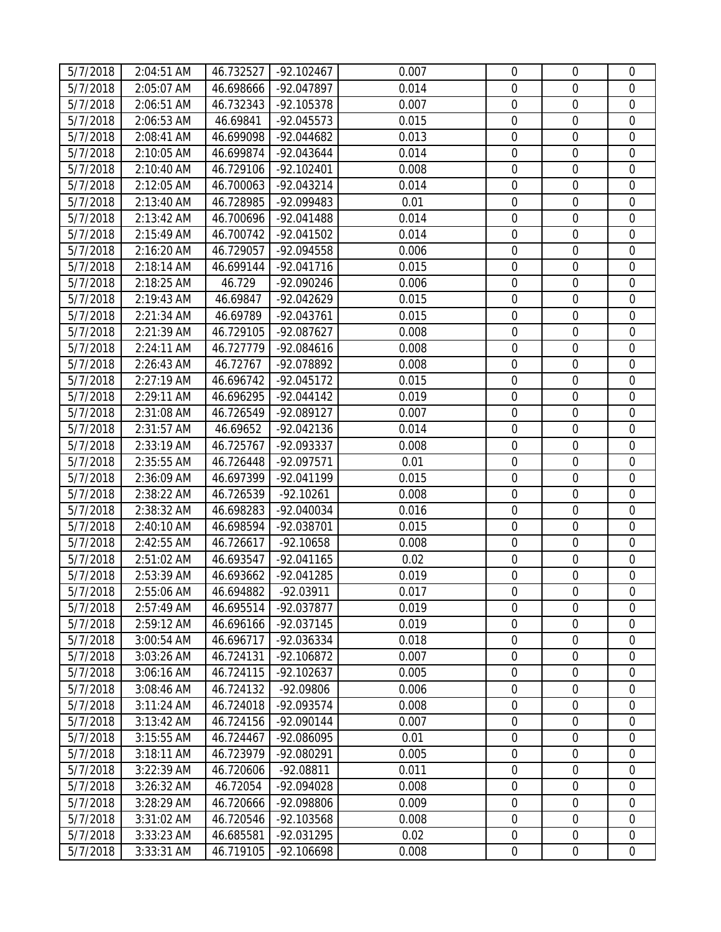| 5/7/2018 | 2:04:51 AM | 46.732527 | $-92.102467$        | 0.007 | $\mathbf 0$      | $\overline{0}$   | $\mathbf 0$      |
|----------|------------|-----------|---------------------|-------|------------------|------------------|------------------|
| 5/7/2018 | 2:05:07 AM | 46.698666 | -92.047897          | 0.014 | $\mathbf 0$      | $\mathbf 0$      | $\mathbf 0$      |
| 5/7/2018 | 2:06:51 AM | 46.732343 | $-92.105378$        | 0.007 | $\mathbf 0$      | $\mathbf 0$      | $\overline{0}$   |
| 5/7/2018 | 2:06:53 AM | 46.69841  | $-92.045573$        | 0.015 | $\boldsymbol{0}$ | $\boldsymbol{0}$ | $\overline{0}$   |
| 5/7/2018 | 2:08:41 AM | 46.699098 | -92.044682          | 0.013 | $\overline{0}$   | $\mathbf 0$      | $\mathbf 0$      |
| 5/7/2018 | 2:10:05 AM | 46.699874 | -92.043644          | 0.014 | $\mathbf 0$      | $\mathbf 0$      | $\mathbf 0$      |
| 5/7/2018 | 2:10:40 AM | 46.729106 | $-92.102401$        | 0.008 | $\mathbf 0$      | $\mathbf 0$      | $\mathbf 0$      |
| 5/7/2018 | 2:12:05 AM | 46.700063 | $-92.043214$        | 0.014 | $\mathbf 0$      | $\mathbf 0$      | $\overline{0}$   |
| 5/7/2018 | 2:13:40 AM | 46.728985 | -92.099483          | 0.01  | $\boldsymbol{0}$ | $\boldsymbol{0}$ | $\mathbf 0$      |
| 5/7/2018 | 2:13:42 AM | 46.700696 | $-92.041488$        | 0.014 | $\mathbf 0$      | $\boldsymbol{0}$ | $\mathbf 0$      |
| 5/7/2018 | 2:15:49 AM | 46.700742 | $-92.041502$        | 0.014 | $\mathbf 0$      | $\boldsymbol{0}$ | $\boldsymbol{0}$ |
| 5/7/2018 | 2:16:20 AM | 46.729057 | -92.094558          | 0.006 | $\mathbf 0$      | $\mathbf 0$      | $\mathbf 0$      |
| 5/7/2018 | 2:18:14 AM | 46.699144 | $-92.041716$        | 0.015 | $\mathbf 0$      | $\mathbf 0$      | $\boldsymbol{0}$ |
| 5/7/2018 | 2:18:25 AM | 46.729    | -92.090246          | 0.006 | $\mathbf 0$      | $\mathbf 0$      | $\boldsymbol{0}$ |
| 5/7/2018 | 2:19:43 AM | 46.69847  | -92.042629          | 0.015 | $\mathbf 0$      | $\mathbf 0$      | $\mathbf 0$      |
| 5/7/2018 | 2:21:34 AM | 46.69789  | $-92.043761$        | 0.015 | $\boldsymbol{0}$ | $\mathbf 0$      | $\boldsymbol{0}$ |
| 5/7/2018 | 2:21:39 AM | 46.729105 | -92.087627          | 0.008 | $\mathbf 0$      | $\mathbf 0$      | $\boldsymbol{0}$ |
| 5/7/2018 | 2:24:11 AM | 46.727779 | $-92.084616$        | 0.008 | $\mathbf 0$      | $\mathbf 0$      | $\boldsymbol{0}$ |
| 5/7/2018 | 2:26:43 AM | 46.72767  | -92.078892          | 0.008 | $\mathbf 0$      | $\mathbf 0$      | $\mathbf 0$      |
| 5/7/2018 | 2:27:19 AM | 46.696742 | $-92.045172$        | 0.015 | $\mathbf 0$      | $\mathbf 0$      | $\mathbf 0$      |
| 5/7/2018 | 2:29:11 AM | 46.696295 | $-92.044142$        | 0.019 | $\mathbf 0$      | $\boldsymbol{0}$ | $\boldsymbol{0}$ |
| 5/7/2018 | 2:31:08 AM | 46.726549 | -92.089127          | 0.007 | $\mathbf 0$      | $\mathbf 0$      | $\mathbf 0$      |
| 5/7/2018 | 2:31:57 AM | 46.69652  | -92.042136          | 0.014 | $\mathbf 0$      | $\boldsymbol{0}$ | $\boldsymbol{0}$ |
| 5/7/2018 | 2:33:19 AM | 46.725767 | -92.093337          | 0.008 | $\boldsymbol{0}$ | $\boldsymbol{0}$ | $\boldsymbol{0}$ |
| 5/7/2018 | 2:35:55 AM | 46.726448 | $-92.097571$        | 0.01  | $\mathbf 0$      | $\mathbf 0$      | $\mathbf 0$      |
| 5/7/2018 | 2:36:09 AM | 46.697399 | -92.041199          | 0.015 | $\boldsymbol{0}$ | $\boldsymbol{0}$ | $\boldsymbol{0}$ |
| 5/7/2018 | 2:38:22 AM | 46.726539 | $-92.10261$         | 0.008 | $\mathbf 0$      | $\mathbf 0$      | $\mathbf 0$      |
| 5/7/2018 | 2:38:32 AM | 46.698283 | -92.040034          | 0.016 | $\mathbf 0$      | $\boldsymbol{0}$ | $\mathbf 0$      |
| 5/7/2018 | 2:40:10 AM | 46.698594 | -92.038701          | 0.015 | $\boldsymbol{0}$ | $\mathbf 0$      | $\mathbf 0$      |
| 5/7/2018 | 2:42:55 AM | 46.726617 | $-92.10658$         | 0.008 | $\mathbf 0$      | $\mathbf 0$      | $\boldsymbol{0}$ |
| 5/7/2018 | 2:51:02 AM | 46.693547 | $-92.041165$        | 0.02  | $\boldsymbol{0}$ | $\boldsymbol{0}$ | $\boldsymbol{0}$ |
| 5/7/2018 | 2:53:39 AM | 46.693662 | -92.041285          | 0.019 | $\mathbf 0$      | $\mathbf 0$      | $\overline{0}$   |
| 5/7/2018 | 2:55:06 AM |           | 46.694882 -92.03911 | 0.017 | $\boldsymbol{0}$ | $\boldsymbol{0}$ | $\boldsymbol{0}$ |
| 5/7/2018 | 2:57:49 AM | 46.695514 | $-92.037877$        | 0.019 | $\mathbf 0$      | $\mathbf{0}$     | $\mathbf 0$      |
| 5/7/2018 | 2:59:12 AM | 46.696166 | $-92.037145$        | 0.019 | 0                | $\mathbf 0$      | $\mathbf{0}$     |
| 5/7/2018 | 3:00:54 AM | 46.696717 | -92.036334          | 0.018 | $\boldsymbol{0}$ | $\mathbf 0$      | $\mathbf 0$      |
| 5/7/2018 | 3:03:26 AM | 46.724131 | $-92.106872$        | 0.007 | $\mathbf 0$      | $\mathbf 0$      | 0                |
| 5/7/2018 | 3:06:16 AM | 46.724115 | $-92.102637$        | 0.005 | $\mathbf 0$      | $\mathbf 0$      | $\boldsymbol{0}$ |
| 5/7/2018 | 3:08:46 AM | 46.724132 | -92.09806           | 0.006 | $\mathbf 0$      | $\mathbf 0$      | $\mathbf 0$      |
| 5/7/2018 | 3:11:24 AM | 46.724018 | -92.093574          | 0.008 | $\mathbf 0$      | $\mathbf 0$      | $\mathbf 0$      |
| 5/7/2018 | 3:13:42 AM | 46.724156 | $-92.090144$        | 0.007 | $\boldsymbol{0}$ | $\mathbf 0$      | $\mathbf 0$      |
| 5/7/2018 | 3:15:55 AM | 46.724467 | -92.086095          | 0.01  | $\mathbf 0$      | $\mathbf 0$      | $\mathbf 0$      |
| 5/7/2018 | 3:18:11 AM | 46.723979 | -92.080291          | 0.005 | $\boldsymbol{0}$ | $\boldsymbol{0}$ | $\boldsymbol{0}$ |
| 5/7/2018 | 3:22:39 AM | 46.720606 | $-92.08811$         | 0.011 | $\overline{0}$   | $\mathbf 0$      | $\mathbf 0$      |
| 5/7/2018 | 3:26:32 AM | 46.72054  | -92.094028          | 0.008 | $\mathbf 0$      | $\mathbf 0$      | $\overline{0}$   |
| 5/7/2018 | 3:28:29 AM | 46.720666 | -92.098806          | 0.009 | $\mathbf 0$      | $\mathbf 0$      | $\boldsymbol{0}$ |
| 5/7/2018 | 3:31:02 AM | 46.720546 | $-92.103568$        | 0.008 | $\boldsymbol{0}$ | $\mathbf 0$      | $\overline{0}$   |
| 5/7/2018 | 3:33:23 AM | 46.685581 | -92.031295          | 0.02  | $\boldsymbol{0}$ | $\boldsymbol{0}$ | $\boldsymbol{0}$ |
| 5/7/2018 | 3:33:31 AM | 46.719105 | -92.106698          | 0.008 | $\boldsymbol{0}$ | $\boldsymbol{0}$ | $\overline{0}$   |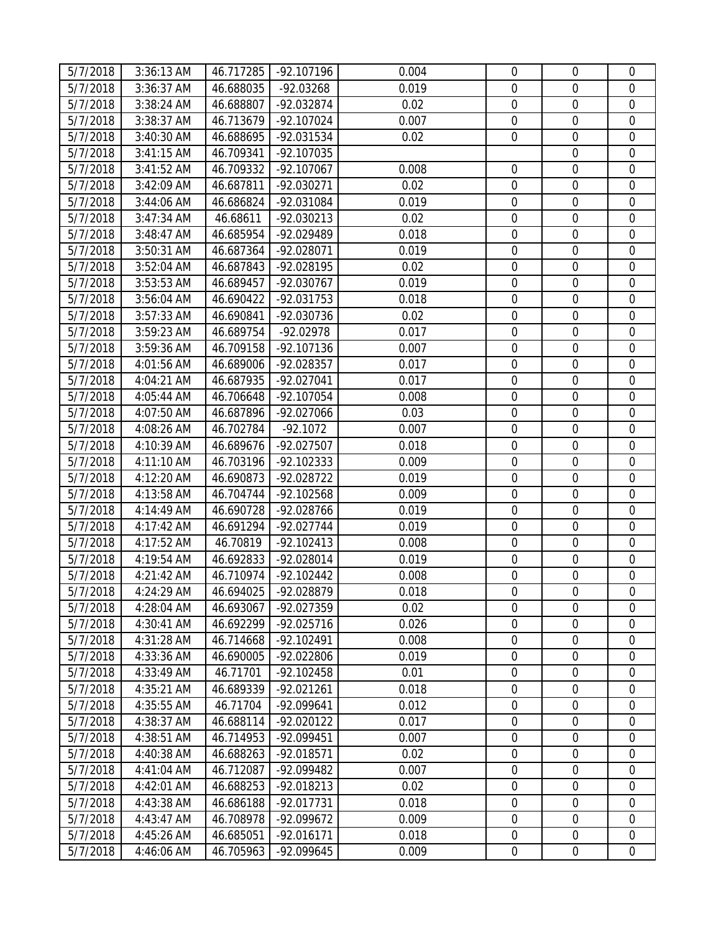| 5/7/2018 | 3:36:13 AM   | 46.717285 | $-92.107196$         | 0.004 | $\mathbf 0$      | $\overline{0}$   | $\mathbf 0$      |
|----------|--------------|-----------|----------------------|-------|------------------|------------------|------------------|
| 5/7/2018 | 3:36:37 AM   | 46.688035 | $-92.03268$          | 0.019 | $\mathbf 0$      | $\mathbf 0$      | $\mathbf 0$      |
| 5/7/2018 | 3:38:24 AM   | 46.688807 | -92.032874           | 0.02  | $\mathbf 0$      | $\mathbf 0$      | $\overline{0}$   |
| 5/7/2018 | 3:38:37 AM   | 46.713679 | $-92.107024$         | 0.007 | $\boldsymbol{0}$ | $\boldsymbol{0}$ | $\overline{0}$   |
| 5/7/2018 | $3:40:30$ AM | 46.688695 | -92.031534           | 0.02  | $\overline{0}$   | $\mathbf 0$      | $\mathbf 0$      |
| 5/7/2018 | 3:41:15 AM   | 46.709341 | -92.107035           |       |                  | $\mathbf 0$      | $\mathbf 0$      |
| 5/7/2018 | 3:41:52 AM   | 46.709332 | $-92.107067$         | 0.008 | $\mathbf 0$      | $\mathbf 0$      | $\mathbf 0$      |
| 5/7/2018 | 3:42:09 AM   | 46.687811 | -92.030271           | 0.02  | $\mathbf 0$      | $\mathbf 0$      | $\overline{0}$   |
| 5/7/2018 | 3:44:06 AM   | 46.686824 | -92.031084           | 0.019 | $\boldsymbol{0}$ | $\boldsymbol{0}$ | $\mathbf 0$      |
| 5/7/2018 | 3:47:34 AM   | 46.68611  | $-92.030213$         | 0.02  | $\mathbf 0$      | $\boldsymbol{0}$ | $\boldsymbol{0}$ |
| 5/7/2018 | 3:48:47 AM   | 46.685954 | -92.029489           | 0.018 | $\mathbf 0$      | $\boldsymbol{0}$ | $\mathbf 0$      |
| 5/7/2018 | 3:50:31 AM   | 46.687364 | -92.028071           | 0.019 | $\mathbf 0$      | $\mathbf 0$      | $\mathbf 0$      |
| 5/7/2018 | 3:52:04 AM   | 46.687843 | -92.028195           | 0.02  | $\mathbf 0$      | $\boldsymbol{0}$ | $\boldsymbol{0}$ |
| 5/7/2018 | 3:53:53 AM   | 46.689457 | -92.030767           | 0.019 | $\mathbf 0$      | $\boldsymbol{0}$ | $\boldsymbol{0}$ |
| 5/7/2018 | 3:56:04 AM   | 46.690422 | $-92.031753$         | 0.018 | $\mathbf 0$      | $\mathbf 0$      | $\mathbf 0$      |
| 5/7/2018 | 3:57:33 AM   | 46.690841 | -92.030736           | 0.02  | $\boldsymbol{0}$ | $\boldsymbol{0}$ | $\boldsymbol{0}$ |
| 5/7/2018 | 3:59:23 AM   | 46.689754 | $-92.02978$          | 0.017 | $\mathbf 0$      | $\mathbf 0$      | $\boldsymbol{0}$ |
| 5/7/2018 | 3:59:36 AM   | 46.709158 | $-92.107136$         | 0.007 | $\mathbf 0$      | $\mathbf 0$      | $\boldsymbol{0}$ |
| 5/7/2018 | 4:01:56 AM   | 46.689006 | -92.028357           | 0.017 | $\mathbf 0$      | $\mathbf 0$      | $\mathbf 0$      |
| 5/7/2018 | 4:04:21 AM   | 46.687935 | -92.027041           | 0.017 | $\mathbf 0$      | $\mathbf 0$      | $\mathbf 0$      |
| 5/7/2018 | 4:05:44 AM   | 46.706648 | $-92.107054$         | 0.008 | $\mathbf 0$      | $\boldsymbol{0}$ | $\boldsymbol{0}$ |
| 5/7/2018 | 4:07:50 AM   | 46.687896 | -92.027066           | 0.03  | $\mathbf 0$      | $\mathbf 0$      | $\mathbf 0$      |
| 5/7/2018 | 4:08:26 AM   | 46.702784 | $-92.1072$           | 0.007 | $\boldsymbol{0}$ | $\boldsymbol{0}$ | $\boldsymbol{0}$ |
| 5/7/2018 | 4:10:39 AM   | 46.689676 | -92.027507           | 0.018 | $\boldsymbol{0}$ | $\boldsymbol{0}$ | $\boldsymbol{0}$ |
| 5/7/2018 | 4:11:10 AM   | 46.703196 | $-92.102333$         | 0.009 | $\mathbf 0$      | $\mathbf 0$      | $\mathbf 0$      |
| 5/7/2018 | 4:12:20 AM   | 46.690873 | -92.028722           | 0.019 | $\mathbf 0$      | $\boldsymbol{0}$ | $\boldsymbol{0}$ |
| 5/7/2018 | 4:13:58 AM   | 46.704744 | $-92.102568$         | 0.009 | $\mathbf 0$      | $\mathbf 0$      | $\overline{0}$   |
| 5/7/2018 | 4:14:49 AM   | 46.690728 | -92.028766           | 0.019 | $\mathbf 0$      | $\boldsymbol{0}$ | $\mathbf 0$      |
| 5/7/2018 | 4:17:42 AM   | 46.691294 | $-92.027744$         | 0.019 | $\mathbf 0$      | $\mathbf 0$      | $\mathbf 0$      |
| 5/7/2018 | 4:17:52 AM   | 46.70819  | $-92.102413$         | 0.008 | $\mathbf 0$      | $\mathbf 0$      | $\boldsymbol{0}$ |
| 5/7/2018 | 4:19:54 AM   | 46.692833 | $-92.028014$         | 0.019 | $\boldsymbol{0}$ | $\boldsymbol{0}$ | $\boldsymbol{0}$ |
| 5/7/2018 | 4:21:42 AM   | 46.710974 | $-92.102442$         | 0.008 | $\mathbf 0$      | $\mathbf 0$      | $\overline{0}$   |
| 5/7/2018 | 4:24:29 AM   |           | 46.694025 -92.028879 | 0.018 | $\boldsymbol{0}$ | $\boldsymbol{0}$ | $\boldsymbol{0}$ |
| 5/7/2018 | 4:28:04 AM   | 46.693067 | -92.027359           | 0.02  | $\mathbf 0$      | $\mathbf{0}$     | $\mathbf 0$      |
| 5/7/2018 | 4:30:41 AM   | 46.692299 | $-92.025716$         | 0.026 | $\overline{0}$   | $\mathbf 0$      | $\mathbf{0}$     |
| 5/7/2018 | 4:31:28 AM   | 46.714668 | $-92.102491$         | 0.008 | $\mathbf 0$      | $\mathbf 0$      | $\mathbf 0$      |
| 5/7/2018 | 4:33:36 AM   | 46.690005 | $-92.022806$         | 0.019 | $\mathbf 0$      | $\mathbf 0$      | 0                |
| 5/7/2018 | 4:33:49 AM   | 46.71701  | $-92.102458$         | 0.01  | $\mathbf 0$      | $\mathbf 0$      | $\boldsymbol{0}$ |
| 5/7/2018 | 4:35:21 AM   | 46.689339 | $-92.021261$         | 0.018 | $\mathbf 0$      | $\mathbf 0$      | $\mathbf 0$      |
| 5/7/2018 | 4:35:55 AM   | 46.71704  | -92.099641           | 0.012 | $\mathbf 0$      | $\mathbf 0$      | $\mathbf 0$      |
| 5/7/2018 | 4:38:37 AM   | 46.688114 | $-92.020122$         | 0.017 | $\boldsymbol{0}$ | $\mathbf 0$      | $\mathbf 0$      |
| 5/7/2018 | 4:38:51 AM   | 46.714953 | -92.099451           | 0.007 | $\mathbf 0$      | $\mathbf 0$      | $\mathbf 0$      |
| 5/7/2018 | 4:40:38 AM   | 46.688263 | -92.018571           | 0.02  | $\boldsymbol{0}$ | $\boldsymbol{0}$ | $\boldsymbol{0}$ |
| 5/7/2018 | 4:41:04 AM   | 46.712087 | -92.099482           | 0.007 | $\mathbf 0$      | $\mathbf 0$      | $\mathbf 0$      |
| 5/7/2018 | 4:42:01 AM   | 46.688253 | $-92.018213$         | 0.02  | $\mathbf 0$      | $\mathbf 0$      | $\mathbf 0$      |
| 5/7/2018 | 4:43:38 AM   | 46.686188 | $-92.017731$         | 0.018 | $\mathbf 0$      | $\mathbf 0$      | $\boldsymbol{0}$ |
| 5/7/2018 | 4:43:47 AM   | 46.708978 | -92.099672           | 0.009 | $\boldsymbol{0}$ | $\mathbf 0$      | $\mathbf 0$      |
| 5/7/2018 | 4:45:26 AM   | 46.685051 | $-92.016171$         | 0.018 | $\boldsymbol{0}$ | $\boldsymbol{0}$ | $\boldsymbol{0}$ |
| 5/7/2018 | 4:46:06 AM   | 46.705963 | -92.099645           | 0.009 | $\boldsymbol{0}$ | $\boldsymbol{0}$ | $\overline{0}$   |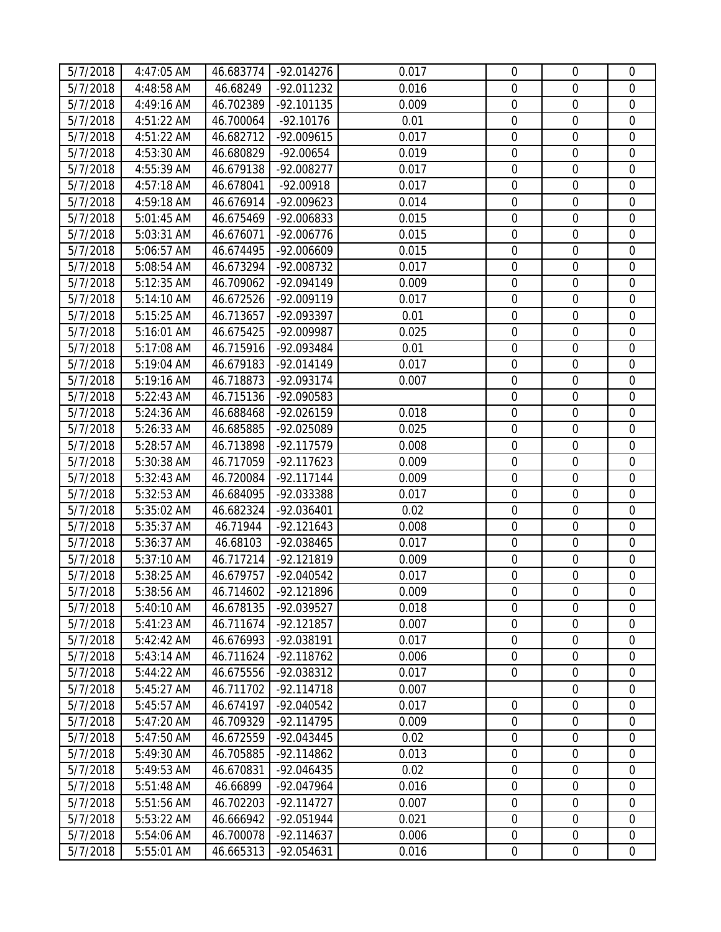| 5/7/2018             | 4:47:05 AM               | 46.683774              | -92.014276                 | 0.017          | $\mathbf 0$                          | $\mathbf 0$      | $\mathbf 0$                |
|----------------------|--------------------------|------------------------|----------------------------|----------------|--------------------------------------|------------------|----------------------------|
| 5/7/2018             | 4:48:58 AM               | 46.68249               | $-92.011232$               | 0.016          | $\mathbf 0$                          | $\mathbf 0$      | $\mathbf 0$                |
| 5/7/2018             | 4:49:16 AM               | 46.702389              | $-92.101135$               | 0.009          | $\boldsymbol{0}$                     | $\mathbf 0$      | $\mathbf 0$                |
| 5/7/2018             | 4:51:22 AM               | 46.700064              | $-92.10176$                | 0.01           | $\boldsymbol{0}$                     | $\boldsymbol{0}$ | $\mathbf 0$                |
| 5/7/2018             | 4:51:22 AM               | 46.682712              | $-92.009615$               | 0.017          | $\mathbf 0$                          | $\mathbf 0$      | $\boldsymbol{0}$           |
| 5/7/2018             | 4:53:30 AM               | 46.680829              | $-92.00654$                | 0.019          | $\mathbf 0$                          | $\mathbf 0$      | $\mathbf 0$                |
| 5/7/2018             | 4:55:39 AM               | 46.679138              | -92.008277                 | 0.017          | $\mathbf 0$                          | $\boldsymbol{0}$ | $\boldsymbol{0}$           |
| 5/7/2018             | 4:57:18 AM               | 46.678041              | $-92.00918$                | 0.017          | $\boldsymbol{0}$                     | $\boldsymbol{0}$ | $\boldsymbol{0}$           |
| 5/7/2018             | 4:59:18 AM               | 46.676914              | $-92.009623$               | 0.014          | $\mathbf 0$                          | $\mathbf 0$      | $\mathbf 0$                |
| 5/7/2018             | 5:01:45 AM               | 46.675469              | -92.006833                 | 0.015          | $\boldsymbol{0}$                     | $\boldsymbol{0}$ | $\boldsymbol{0}$           |
| 5/7/2018             | 5:03:31 AM               | 46.676071              | $-92.006776$               | 0.015          | $\mathbf 0$                          | $\boldsymbol{0}$ | $\overline{0}$             |
| 5/7/2018             | 5:06:57 AM               | 46.674495              | -92.006609                 | 0.015          | $\overline{0}$                       | $\mathbf 0$      | $\mathbf 0$                |
| 5/7/2018             | 5:08:54 AM               | 46.673294              | -92.008732                 | 0.017          | $\boldsymbol{0}$                     | $\mathbf 0$      | $\overline{0}$             |
| 5/7/2018             | 5:12:35 AM               | 46.709062              | $-92.094149$               | 0.009          | $\boldsymbol{0}$                     | $\mathbf 0$      | $\boldsymbol{0}$           |
| 5/7/2018             | 5:14:10 AM               | 46.672526              | $-92.009119$               | 0.017          | $\mathbf 0$                          | $\boldsymbol{0}$ | $\boldsymbol{0}$           |
| 5/7/2018             | 5:15:25 AM               | 46.713657              | -92.093397                 | 0.01           | $\mathbf 0$                          | $\mathbf 0$      | $\mathbf 0$                |
| 5/7/2018             | 5:16:01 AM               | 46.675425              | -92.009987                 | 0.025          | $\boldsymbol{0}$                     | $\boldsymbol{0}$ | $\boldsymbol{0}$           |
| 5/7/2018             | 5:17:08 AM               | 46.715916              | -92.093484                 | 0.01           | $\mathbf 0$                          | $\mathbf 0$      | $\boldsymbol{0}$           |
| 5/7/2018             | 5:19:04 AM               | 46.679183              | $-92.014149$               | 0.017          | 0                                    | $\mathbf 0$      | $\mathbf 0$                |
| 5/7/2018             | 5:19:16 AM               | 46.718873              | $-92.093174$               | 0.007          | $\mathbf 0$                          | $\boldsymbol{0}$ | $\boldsymbol{0}$           |
| 5/7/2018             | 5:22:43 AM               | 46.715136              | -92.090583                 |                | $\mathbf 0$                          | $\boldsymbol{0}$ | $\boldsymbol{0}$           |
| 5/7/2018             | 5:24:36 AM               | 46.688468              | -92.026159                 | 0.018          | $\mathbf 0$                          | $\mathbf 0$      | $\mathbf 0$                |
| 5/7/2018             | 5:26:33 AM               | 46.685885              | -92.025089                 | 0.025          | $\mathbf 0$                          | $\mathbf 0$      | $\mathbf 0$                |
| 5/7/2018             | 5:28:57 AM               | 46.713898              | $-92.117579$               | 0.008          | $\boldsymbol{0}$                     | $\boldsymbol{0}$ | $\boldsymbol{0}$           |
| 5/7/2018             | 5:30:38 AM               | 46.717059              | $-92.117623$               | 0.009          | $\mathbf 0$                          | $\boldsymbol{0}$ | $\boldsymbol{0}$           |
| 5/7/2018             | 5:32:43 AM               | 46.720084              | $-92.117144$               | 0.009          | $\mathbf 0$                          | $\mathbf 0$      | $\mathbf 0$                |
| 5/7/2018             | 5:32:53 AM               | 46.684095              | -92.033388                 | 0.017          | $\mathbf 0$                          | $\boldsymbol{0}$ | $\boldsymbol{0}$           |
| 5/7/2018             | 5:35:02 AM               | 46.682324              | -92.036401                 | 0.02           | $\mathbf 0$                          | $\boldsymbol{0}$ | $\boldsymbol{0}$           |
| 5/7/2018             | 5:35:37 AM               | 46.71944               | $-92.121643$               | 0.008          | $\boldsymbol{0}$                     | $\mathbf 0$      | $\mathbf 0$                |
| 5/7/2018             | 5:36:37 AM               | 46.68103               | -92.038465                 | 0.017          | $\boldsymbol{0}$                     | $\boldsymbol{0}$ | $\boldsymbol{0}$           |
| 5/7/2018             | 5:37:10 AM               | 46.717214              | $-92.121819$               | 0.009          | $\boldsymbol{0}$                     | $\boldsymbol{0}$ | $\boldsymbol{0}$           |
| 5/7/2018             | 5:38:25 AM               | 46.679757              | -92.040542                 | 0.017          | $\boldsymbol{0}$<br>$\boldsymbol{0}$ | $\boldsymbol{0}$ | $\boldsymbol{0}$           |
| 5/7/2018             | 5:38:56 AM               |                        | 46.714602 -92.121896       | 0.009          |                                      | $\boldsymbol{0}$ | $\boldsymbol{0}$           |
| 5/7/2018<br>5/7/2018 | 5:40:10 AM               | 46.678135<br>46.711674 | -92.039527<br>$-92.121857$ | 0.018<br>0.007 | 0<br>$\mathbf 0$                     | 0<br>$\mathbf 0$ | $\mathbf 0$<br>$\mathbf 0$ |
| 5/7/2018             | 5:41:23 AM<br>5:42:42 AM | 46.676993              | -92.038191                 | 0.017          | $\mathbf 0$                          | $\mathbf 0$      | $\mathbf 0$                |
| 5/7/2018             | 5:43:14 AM               | 46.711624              | $-92.118762$               | 0.006          | $\mathbf 0$                          | $\mathbf 0$      | 0                          |
| 5/7/2018             | 5:44:22 AM               | 46.675556              | -92.038312                 | 0.017          | $\overline{0}$                       | $\mathbf 0$      | $\boldsymbol{0}$           |
| 5/7/2018             | 5:45:27 AM               | 46.711702              | $-92.114718$               | 0.007          |                                      | $\mathbf 0$      | $\mathbf 0$                |
| 5/7/2018             | 5:45:57 AM               | 46.674197              | -92.040542                 | 0.017          | $\mathbf 0$                          | $\boldsymbol{0}$ | $\boldsymbol{0}$           |
| 5/7/2018             | 5:47:20 AM               | 46.709329              | $-92.114795$               | 0.009          | $\mathbf 0$                          | $\boldsymbol{0}$ | $\boldsymbol{0}$           |
| 5/7/2018             | 5:47:50 AM               | 46.672559              | -92.043445                 | 0.02           | $\mathbf 0$                          | $\mathbf 0$      | $\mathbf 0$                |
| 5/7/2018             | 5:49:30 AM               | 46.705885              | $-92.114862$               | 0.013          | $\mathbf 0$                          | $\boldsymbol{0}$ | $\boldsymbol{0}$           |
| 5/7/2018             | 5:49:53 AM               | 46.670831              | -92.046435                 | 0.02           | $\mathbf 0$                          | $\mathbf 0$      | $\mathbf 0$                |
| 5/7/2018             | 5:51:48 AM               | 46.66899               | -92.047964                 | 0.016          | $\mathbf 0$                          | $\mathbf 0$      | $\mathbf 0$                |
| 5/7/2018             | 5:51:56 AM               | 46.702203              | $-92.114727$               | 0.007          | $\mathbf 0$                          | $\overline{0}$   | $\mathbf 0$                |
| 5/7/2018             | 5:53:22 AM               | 46.666942              | -92.051944                 | 0.021          | $\boldsymbol{0}$                     | $\boldsymbol{0}$ | $\boldsymbol{0}$           |
| 5/7/2018             | 5:54:06 AM               | 46.700078              | $-92.114637$               | 0.006          | $\overline{0}$                       | $\mathbf 0$      | $\boldsymbol{0}$           |
| 5/7/2018             | 5:55:01 AM               | 46.665313              | -92.054631                 | 0.016          | 0                                    | $\boldsymbol{0}$ | $\overline{0}$             |
|                      |                          |                        |                            |                |                                      |                  |                            |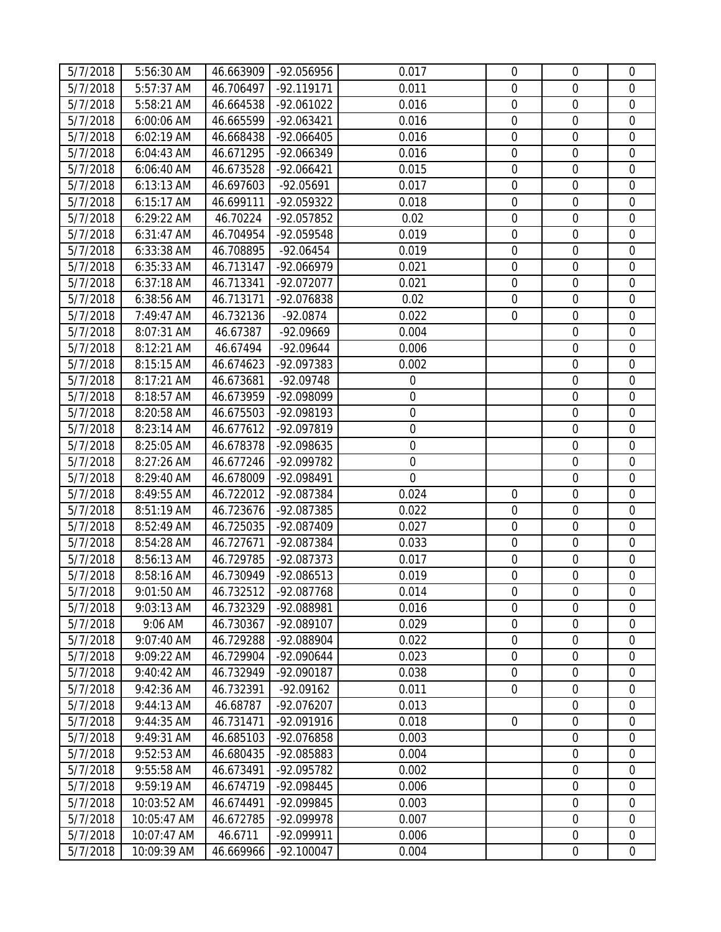| 5/7/2018              | 5:56:30 AM  | 46.663909 | -92.056956           | 0.017       | $\mathbf 0$      | $\overline{0}$   | $\mathbf 0$      |
|-----------------------|-------------|-----------|----------------------|-------------|------------------|------------------|------------------|
| 5/7/2018              | 5:57:37 AM  | 46.706497 | $-92.119171$         | 0.011       | $\mathbf 0$      | $\mathbf 0$      | $\mathbf 0$      |
| 5/7/2018              | 5:58:21 AM  | 46.664538 | $-92.061022$         | 0.016       | $\mathbf 0$      | $\mathbf 0$      | $\mathbf 0$      |
| 5/7/2018              | 6:00:06 AM  | 46.665599 | $-92.063421$         | 0.016       | $\boldsymbol{0}$ | $\boldsymbol{0}$ | $\mathbf 0$      |
| 5/7/2018              | 6:02:19 AM  | 46.668438 | $-92.066405$         | 0.016       | $\overline{0}$   | $\mathbf 0$      | $\mathbf 0$      |
| 5/7/2018              | 6:04:43 AM  | 46.671295 | -92.066349           | 0.016       | $\mathbf 0$      | $\mathbf 0$      | $\mathbf 0$      |
| 5/7/2018              | 6:06:40 AM  | 46.673528 | $-92.066421$         | 0.015       | $\mathbf 0$      | $\mathbf 0$      | $\mathbf 0$      |
| $\overline{5}/7/2018$ | 6:13:13 AM  | 46.697603 | $-92.05691$          | 0.017       | $\mathbf 0$      | $\mathbf 0$      | $\mathbf 0$      |
| 5/7/2018              | 6:15:17 AM  | 46.699111 | -92.059322           | 0.018       | $\boldsymbol{0}$ | $\boldsymbol{0}$ | $\mathbf 0$      |
| 5/7/2018              | 6:29:22 AM  | 46.70224  | -92.057852           | 0.02        | $\mathbf 0$      | $\boldsymbol{0}$ | $\mathbf 0$      |
| 5/7/2018              | 6:31:47 AM  | 46.704954 | -92.059548           | 0.019       | $\mathbf 0$      | $\boldsymbol{0}$ | $\boldsymbol{0}$ |
| 5/7/2018              | 6:33:38 AM  | 46.708895 | $-92.06454$          | 0.019       | $\mathbf 0$      | $\mathbf 0$      | $\mathbf 0$      |
| 5/7/2018              | 6:35:33 AM  | 46.713147 | -92.066979           | 0.021       | $\mathbf 0$      | $\boldsymbol{0}$ | $\boldsymbol{0}$ |
| 5/7/2018              | 6:37:18 AM  | 46.713341 | -92.072077           | 0.021       | $\mathbf 0$      | $\mathbf 0$      | $\boldsymbol{0}$ |
| 5/7/2018              | 6:38:56 AM  | 46.713171 | -92.076838           | 0.02        | $\mathbf 0$      | $\mathbf 0$      | $\mathbf 0$      |
| 5/7/2018              | 7:49:47 AM  | 46.732136 | $-92.0874$           | 0.022       | $\mathbf 0$      | $\mathbf 0$      | $\boldsymbol{0}$ |
| 5/7/2018              | 8:07:31 AM  | 46.67387  | -92.09669            | 0.004       |                  | $\mathbf 0$      | $\boldsymbol{0}$ |
| 5/7/2018              | 8:12:21 AM  | 46.67494  | $-92.09644$          | 0.006       |                  | $\mathbf 0$      | $\boldsymbol{0}$ |
| 5/7/2018              | 8:15:15 AM  | 46.674623 | -92.097383           | 0.002       |                  | $\mathbf 0$      | $\mathbf 0$      |
| 5/7/2018              | 8:17:21 AM  | 46.673681 | $-92.09748$          | $\mathbf 0$ |                  | $\mathbf 0$      | $\mathbf 0$      |
| 5/7/2018              | 8:18:57 AM  | 46.673959 | -92.098099           | $\mathbf 0$ |                  | $\boldsymbol{0}$ | $\boldsymbol{0}$ |
| 5/7/2018              | 8:20:58 AM  | 46.675503 | -92.098193           | $\mathbf 0$ |                  | $\mathbf 0$      | $\mathbf 0$      |
| 5/7/2018              | 8:23:14 AM  | 46.677612 | -92.097819           | $\mathbf 0$ |                  | $\boldsymbol{0}$ | $\boldsymbol{0}$ |
| 5/7/2018              | 8:25:05 AM  | 46.678378 | -92.098635           | $\mathbf 0$ |                  | $\boldsymbol{0}$ | $\boldsymbol{0}$ |
| 5/7/2018              | 8:27:26 AM  | 46.677246 | -92.099782           | $\mathbf 0$ |                  | $\mathbf 0$      | $\mathbf 0$      |
| 5/7/2018              | 8:29:40 AM  | 46.678009 | -92.098491           | $\mathbf 0$ |                  | $\boldsymbol{0}$ | $\boldsymbol{0}$ |
| 5/7/2018              | 8:49:55 AM  | 46.722012 | -92.087384           | 0.024       | $\mathbf 0$      | $\mathbf 0$      | $\overline{0}$   |
| $\overline{5}/7/2018$ | 8:51:19 AM  | 46.723676 | -92.087385           | 0.022       | $\mathbf 0$      | $\boldsymbol{0}$ | $\boldsymbol{0}$ |
| 5/7/2018              | 8:52:49 AM  | 46.725035 | -92.087409           | 0.027       | $\mathbf 0$      | $\mathbf 0$      | $\mathbf 0$      |
| 5/7/2018              | 8:54:28 AM  | 46.727671 | -92.087384           | 0.033       | $\mathbf 0$      | $\mathbf 0$      | $\boldsymbol{0}$ |
| 5/7/2018              | 8:56:13 AM  | 46.729785 | -92.087373           | 0.017       | $\boldsymbol{0}$ | $\boldsymbol{0}$ | $\boldsymbol{0}$ |
| 5/7/2018              | 8:58:16 AM  | 46.730949 | -92.086513           | 0.019       | 0                | $\mathbf 0$      | $\overline{0}$   |
| 5/7/2018              | 9:01:50 AM  |           | 46.732512 -92.087768 | 0.014       | $\boldsymbol{0}$ | $\boldsymbol{0}$ | $\boldsymbol{0}$ |
| 5/7/2018              | 9:03:13 AM  | 46.732329 | -92.088981           | 0.016       | $\mathbf 0$      | $\overline{0}$   | $\mathbf 0$      |
| 5/7/2018              | 9:06 AM     | 46.730367 | -92.089107           | 0.029       | $\mathbf 0$      | $\mathbf 0$      | $\mathbf 0$      |
| 5/7/2018              | 9:07:40 AM  | 46.729288 | -92.088904           | 0.022       | $\boldsymbol{0}$ | $\mathbf 0$      | $\mathbf 0$      |
| 5/7/2018              | 9:09:22 AM  | 46.729904 | $-92.090644$         | 0.023       | $\mathbf 0$      | $\mathbf 0$      | $\boldsymbol{0}$ |
| 5/7/2018              | 9:40:42 AM  | 46.732949 | -92.090187           | 0.038       | $\mathbf 0$      | $\mathbf 0$      | $\boldsymbol{0}$ |
| 5/7/2018              | 9:42:36 AM  | 46.732391 | $-92.09162$          | 0.011       | $\overline{0}$   | $\mathbf 0$      | $\mathbf 0$      |
| 5/7/2018              | 9:44:13 AM  | 46.68787  | -92.076207           | 0.013       |                  | $\mathbf 0$      | 0                |
| 5/7/2018              | 9:44:35 AM  | 46.731471 | -92.091916           | 0.018       | $\overline{0}$   | $\mathbf 0$      | $\boldsymbol{0}$ |
| 5/7/2018              | 9:49:31 AM  | 46.685103 | -92.076858           | 0.003       |                  | $\mathbf 0$      | $\mathbf 0$      |
| 5/7/2018              | 9:52:53 AM  | 46.680435 | -92.085883           | 0.004       |                  | $\boldsymbol{0}$ | $\boldsymbol{0}$ |
| 5/7/2018              | 9:55:58 AM  | 46.673491 | -92.095782           | 0.002       |                  | $\mathbf 0$      | $\mathbf 0$      |
| 5/7/2018              | 9:59:19 AM  | 46.674719 | -92.098445           | 0.006       |                  | $\mathbf 0$      | $\overline{0}$   |
| 5/7/2018              | 10:03:52 AM | 46.674491 | -92.099845           | 0.003       |                  | $\mathbf 0$      | $\boldsymbol{0}$ |
| 5/7/2018              | 10:05:47 AM | 46.672785 | -92.099978           | 0.007       |                  | $\mathbf 0$      | $\mathbf 0$      |
| 5/7/2018              | 10:07:47 AM | 46.6711   | -92.099911           | 0.006       |                  | $\boldsymbol{0}$ | $\boldsymbol{0}$ |
| 5/7/2018              | 10:09:39 AM | 46.669966 | $-92.100047$         | 0.004       |                  | $\boldsymbol{0}$ | $\mathbf 0$      |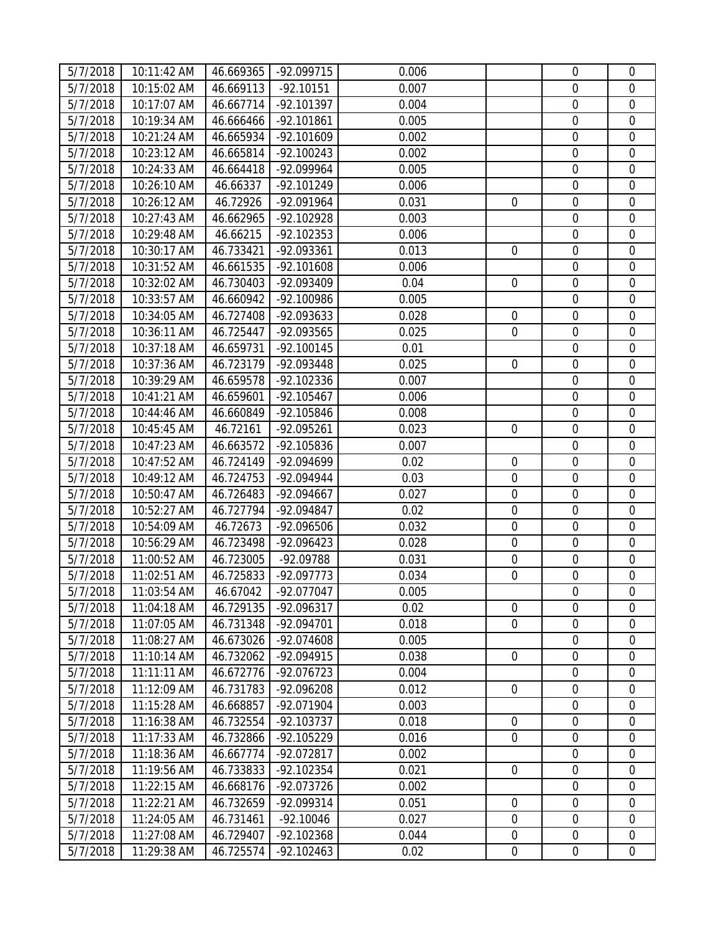| 5/7/2018 | 10:11:42 AM | 46.669365 | -92.099715   | 0.006 |                  | $\mathbf 0$      | $\mathbf 0$      |
|----------|-------------|-----------|--------------|-------|------------------|------------------|------------------|
| 5/7/2018 | 10:15:02 AM | 46.669113 | $-92.10151$  | 0.007 |                  | $\mathbf 0$      | $\mathbf 0$      |
| 5/7/2018 | 10:17:07 AM | 46.667714 | $-92.101397$ | 0.004 |                  | $\mathbf 0$      | $\mathbf 0$      |
| 5/7/2018 | 10:19:34 AM | 46.666466 | -92.101861   | 0.005 |                  | $\mathbf 0$      | $\mathbf 0$      |
| 5/7/2018 | 10:21:24 AM | 46.665934 | $-92.101609$ | 0.002 |                  | $\mathbf 0$      | $\boldsymbol{0}$ |
| 5/7/2018 | 10:23:12 AM | 46.665814 | $-92.100243$ | 0.002 |                  | $\mathbf 0$      | $\mathbf 0$      |
| 5/7/2018 | 10:24:33 AM | 46.664418 | -92.099964   | 0.005 |                  | $\boldsymbol{0}$ | $\boldsymbol{0}$ |
| 5/7/2018 | 10:26:10 AM | 46.66337  | $-92.101249$ | 0.006 |                  | $\boldsymbol{0}$ | $\boldsymbol{0}$ |
| 5/7/2018 | 10:26:12 AM | 46.72926  | -92.091964   | 0.031 | $\overline{0}$   | $\mathbf 0$      | $\mathbf 0$      |
| 5/7/2018 | 10:27:43 AM | 46.662965 | $-92.102928$ | 0.003 |                  | $\boldsymbol{0}$ | $\boldsymbol{0}$ |
| 5/7/2018 | 10:29:48 AM | 46.66215  | $-92.102353$ | 0.006 |                  | $\boldsymbol{0}$ | $\mathbf 0$      |
| 5/7/2018 | 10:30:17 AM | 46.733421 | -92.093361   | 0.013 | $\mathbf 0$      | $\mathbf 0$      | $\mathbf 0$      |
| 5/7/2018 | 10:31:52 AM | 46.661535 | $-92.101608$ | 0.006 |                  | $\mathbf 0$      | $\overline{0}$   |
| 5/7/2018 | 10:32:02 AM | 46.730403 | -92.093409   | 0.04  | $\boldsymbol{0}$ | $\mathbf 0$      | $\mathbf 0$      |
| 5/7/2018 | 10:33:57 AM | 46.660942 | -92.100986   | 0.005 |                  | $\boldsymbol{0}$ | $\boldsymbol{0}$ |
| 5/7/2018 | 10:34:05 AM | 46.727408 | -92.093633   | 0.028 | $\mathbf 0$      | $\mathbf 0$      | $\mathbf 0$      |
| 5/7/2018 | 10:36:11 AM | 46.725447 | -92.093565   | 0.025 | $\mathbf 0$      | $\boldsymbol{0}$ | $\boldsymbol{0}$ |
| 5/7/2018 | 10:37:18 AM | 46.659731 | $-92.100145$ | 0.01  |                  | $\mathbf 0$      | $\boldsymbol{0}$ |
| 5/7/2018 | 10:37:36 AM | 46.723179 | -92.093448   | 0.025 | $\overline{0}$   | $\mathbf 0$      | $\mathbf 0$      |
| 5/7/2018 | 10:39:29 AM | 46.659578 | $-92.102336$ | 0.007 |                  | $\boldsymbol{0}$ | $\boldsymbol{0}$ |
| 5/7/2018 | 10:41:21 AM | 46.659601 | $-92.105467$ | 0.006 |                  | $\boldsymbol{0}$ | $\boldsymbol{0}$ |
| 5/7/2018 | 10:44:46 AM | 46.660849 | -92.105846   | 0.008 |                  | $\mathbf 0$      | $\mathbf 0$      |
| 5/7/2018 | 10:45:45 AM | 46.72161  | -92.095261   | 0.023 | $\mathbf 0$      | $\mathbf 0$      | $\mathbf 0$      |
| 5/7/2018 | 10:47:23 AM | 46.663572 | -92.105836   | 0.007 |                  | $\boldsymbol{0}$ | $\boldsymbol{0}$ |
| 5/7/2018 | 10:47:52 AM | 46.724149 | -92.094699   | 0.02  | $\boldsymbol{0}$ | $\boldsymbol{0}$ | $\boldsymbol{0}$ |
| 5/7/2018 | 10:49:12 AM | 46.724753 | $-92.094944$ | 0.03  | $\mathbf 0$      | $\mathbf 0$      | $\mathbf 0$      |
| 5/7/2018 | 10:50:47 AM | 46.726483 | $-92.094667$ | 0.027 | $\mathbf 0$      | $\boldsymbol{0}$ | $\boldsymbol{0}$ |
| 5/7/2018 | 10:52:27 AM | 46.727794 | -92.094847   | 0.02  | $\mathbf 0$      | $\boldsymbol{0}$ | $\boldsymbol{0}$ |
| 5/7/2018 | 10:54:09 AM | 46.72673  | -92.096506   | 0.032 | $\boldsymbol{0}$ | $\mathbf 0$      | $\mathbf 0$      |
| 5/7/2018 | 10:56:29 AM | 46.723498 | -92.096423   | 0.028 | $\boldsymbol{0}$ | $\boldsymbol{0}$ | $\boldsymbol{0}$ |
| 5/7/2018 | 11:00:52 AM | 46.723005 | -92.09788    | 0.031 | $\boldsymbol{0}$ | $\boldsymbol{0}$ | $\boldsymbol{0}$ |
| 5/7/2018 | 11:02:51 AM | 46.725833 | $-92.097773$ | 0.034 | 0                | $\boldsymbol{0}$ | $\boldsymbol{0}$ |
| 5/7/2018 | 11:03:54 AM | 46.67042  | -92.077047   | 0.005 |                  | $\boldsymbol{0}$ | $\boldsymbol{0}$ |
| 5/7/2018 | 11:04:18 AM | 46.729135 | -92.096317   | 0.02  | $\overline{0}$   | 0                | $\mathbf 0$      |
| 5/7/2018 | 11:07:05 AM | 46.731348 | -92.094701   | 0.018 | $\overline{0}$   | $\mathbf 0$      | $\mathbf 0$      |
| 5/7/2018 | 11:08:27 AM | 46.673026 | -92.074608   | 0.005 |                  | $\mathbf 0$      | $\overline{0}$   |
| 5/7/2018 | 11:10:14 AM | 46.732062 | $-92.094915$ | 0.038 | $\boldsymbol{0}$ | $\boldsymbol{0}$ | 0                |
| 5/7/2018 | 11:11:11 AM | 46.672776 | $-92.076723$ | 0.004 |                  | $\mathbf 0$      | $\mathbf 0$      |
| 5/7/2018 | 11:12:09 AM | 46.731783 | -92.096208   | 0.012 | $\overline{0}$   | $\mathbf 0$      | $\mathbf 0$      |
| 5/7/2018 | 11:15:28 AM | 46.668857 | -92.071904   | 0.003 |                  | $\boldsymbol{0}$ | $\boldsymbol{0}$ |
| 5/7/2018 | 11:16:38 AM | 46.732554 | $-92.103737$ | 0.018 | $\mathbf 0$      | $\mathbf 0$      | $\mathbf 0$      |
| 5/7/2018 | 11:17:33 AM | 46.732866 | $-92.105229$ | 0.016 | $\overline{0}$   | $\mathbf 0$      | $\mathbf 0$      |
| 5/7/2018 | 11:18:36 AM | 46.667774 | $-92.072817$ | 0.002 |                  | $\boldsymbol{0}$ | $\boldsymbol{0}$ |
| 5/7/2018 | 11:19:56 AM | 46.733833 | $-92.102354$ | 0.021 | $\mathbf 0$      | $\mathbf 0$      | $\mathbf 0$      |
| 5/7/2018 | 11:22:15 AM | 46.668176 | -92.073726   | 0.002 |                  | $\mathbf 0$      | $\mathbf 0$      |
| 5/7/2018 | 11:22:21 AM | 46.732659 | -92.099314   | 0.051 | $\mathbf 0$      | $\mathbf 0$      | $\mathbf 0$      |
| 5/7/2018 | 11:24:05 AM | 46.731461 | $-92.10046$  | 0.027 | $\mathbf 0$      | $\boldsymbol{0}$ | $\boldsymbol{0}$ |
| 5/7/2018 | 11:27:08 AM | 46.729407 | $-92.102368$ | 0.044 | $\mathbf 0$      | $\mathbf 0$      | $\boldsymbol{0}$ |
| 5/7/2018 | 11:29:38 AM | 46.725574 | $-92.102463$ | 0.02  | $\boldsymbol{0}$ | $\boldsymbol{0}$ | $\overline{0}$   |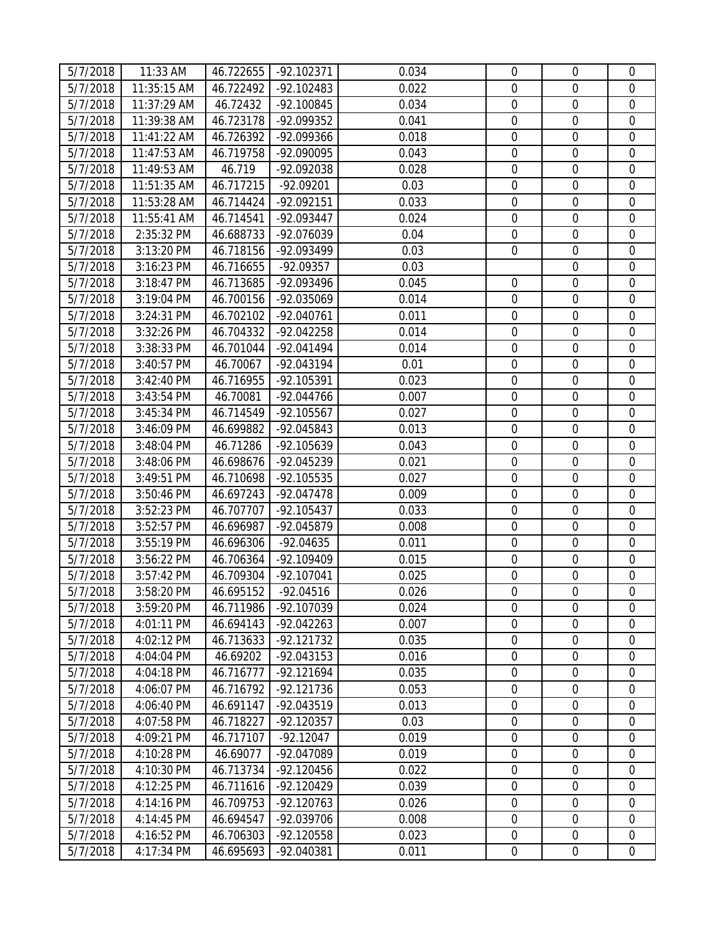| 5/7/2018 | 11:33 AM    | 46.722655 | -92.102371          | 0.034 | $\mathbf 0$      | $\mathbf 0$      | $\mathbf 0$      |
|----------|-------------|-----------|---------------------|-------|------------------|------------------|------------------|
| 5/7/2018 | 11:35:15 AM | 46.722492 | $-92.102483$        | 0.022 | $\mathbf 0$      | $\mathbf 0$      | $\mathbf 0$      |
| 5/7/2018 | 11:37:29 AM | 46.72432  | $-92.100845$        | 0.034 | $\mathbf 0$      | $\mathbf 0$      | $\mathbf 0$      |
| 5/7/2018 | 11:39:38 AM | 46.723178 | -92.099352          | 0.041 | $\boldsymbol{0}$ | $\boldsymbol{0}$ | $\overline{0}$   |
| 5/7/2018 | 11:41:22 AM | 46.726392 | -92.099366          | 0.018 | $\mathbf 0$      | $\mathbf 0$      | $\boldsymbol{0}$ |
| 5/7/2018 | 11:47:53 AM | 46.719758 | -92.090095          | 0.043 | $\mathbf 0$      | $\mathbf 0$      | $\mathbf 0$      |
| 5/7/2018 | 11:49:53 AM | 46.719    | -92.092038          | 0.028 | $\mathbf 0$      | $\boldsymbol{0}$ | $\boldsymbol{0}$ |
| 5/7/2018 | 11:51:35 AM | 46.717215 | $-92.09201$         | 0.03  | $\mathbf 0$      | $\boldsymbol{0}$ | $\boldsymbol{0}$ |
| 5/7/2018 | 11:53:28 AM | 46.714424 | -92.092151          | 0.033 | $\mathbf 0$      | $\mathbf 0$      | $\mathbf 0$      |
| 5/7/2018 | 11:55:41 AM | 46.714541 | -92.093447          | 0.024 | $\boldsymbol{0}$ | $\boldsymbol{0}$ | $\boldsymbol{0}$ |
| 5/7/2018 | 2:35:32 PM  | 46.688733 | -92.076039          | 0.04  | $\mathbf 0$      | $\boldsymbol{0}$ | $\boldsymbol{0}$ |
| 5/7/2018 | 3:13:20 PM  | 46.718156 | -92.093499          | 0.03  | $\overline{0}$   | $\mathbf 0$      | $\mathbf 0$      |
| 5/7/2018 | 3:16:23 PM  | 46.716655 | $-92.09357$         | 0.03  |                  | $\mathbf 0$      | $\mathbf 0$      |
| 5/7/2018 | 3:18:47 PM  | 46.713685 | -92.093496          | 0.045 | $\mathbf 0$      | $\mathbf 0$      | $\boldsymbol{0}$ |
| 5/7/2018 | 3:19:04 PM  | 46.700156 | -92.035069          | 0.014 | $\mathbf 0$      | $\boldsymbol{0}$ | $\boldsymbol{0}$ |
| 5/7/2018 | 3:24:31 PM  | 46.702102 | -92.040761          | 0.011 | $\mathbf 0$      | $\mathbf 0$      | $\mathbf 0$      |
| 5/7/2018 | 3:32:26 PM  | 46.704332 | -92.042258          | 0.014 | $\boldsymbol{0}$ | $\boldsymbol{0}$ | $\boldsymbol{0}$ |
| 5/7/2018 | 3:38:33 PM  | 46.701044 | -92.041494          | 0.014 | $\mathbf 0$      | $\mathbf 0$      | $\boldsymbol{0}$ |
| 5/7/2018 | 3:40:57 PM  | 46.70067  | -92.043194          | 0.01  | 0                | $\mathbf 0$      | $\mathbf 0$      |
| 5/7/2018 | 3:42:40 PM  | 46.716955 | $-92.105391$        | 0.023 | $\mathbf 0$      | $\boldsymbol{0}$ | $\boldsymbol{0}$ |
| 5/7/2018 | 3:43:54 PM  | 46.70081  | $-92.044766$        | 0.007 | $\mathbf 0$      | $\boldsymbol{0}$ | $\boldsymbol{0}$ |
| 5/7/2018 | 3:45:34 PM  | 46.714549 | $-92.105567$        | 0.027 | $\mathbf 0$      | $\mathbf 0$      | $\mathbf 0$      |
| 5/7/2018 | 3:46:09 PM  | 46.699882 | $-92.045843$        | 0.013 | $\mathbf 0$      | $\mathbf 0$      | $\mathbf 0$      |
| 5/7/2018 | 3:48:04 PM  | 46.71286  | -92.105639          | 0.043 | $\boldsymbol{0}$ | $\boldsymbol{0}$ | $\boldsymbol{0}$ |
| 5/7/2018 | 3:48:06 PM  | 46.698676 | -92.045239          | 0.021 | $\mathbf 0$      | $\boldsymbol{0}$ | $\boldsymbol{0}$ |
| 5/7/2018 | 3:49:51 PM  | 46.710698 | $-92.105535$        | 0.027 | $\mathbf 0$      | $\mathbf 0$      | $\mathbf 0$      |
| 5/7/2018 | 3:50:46 PM  | 46.697243 | -92.047478          | 0.009 | $\mathbf 0$      | $\mathbf 0$      | $\boldsymbol{0}$ |
| 5/7/2018 | 3:52:23 PM  | 46.707707 | $-92.105437$        | 0.033 | $\mathbf 0$      | $\boldsymbol{0}$ | $\boldsymbol{0}$ |
| 5/7/2018 | 3:52:57 PM  | 46.696987 | -92.045879          | 0.008 | $\boldsymbol{0}$ | $\mathbf 0$      | $\mathbf 0$      |
| 5/7/2018 | 3:55:19 PM  | 46.696306 | $-92.04635$         | 0.011 | $\boldsymbol{0}$ | $\boldsymbol{0}$ | $\boldsymbol{0}$ |
| 5/7/2018 | 3:56:22 PM  | 46.706364 | -92.109409          | 0.015 | $\mathbf 0$      | $\boldsymbol{0}$ | $\mathbf 0$      |
| 5/7/2018 | 3:57:42 PM  | 46.709304 | $-92.107041$        | 0.025 | $\boldsymbol{0}$ | $\boldsymbol{0}$ | $\boldsymbol{0}$ |
| 5/7/2018 | 3:58:20 PM  |           | 46.695152 -92.04516 | 0.026 | $\boldsymbol{0}$ | $\boldsymbol{0}$ | $\boldsymbol{0}$ |
| 5/7/2018 | 3:59:20 PM  | 46.711986 | -92.107039          | 0.024 | $\mathbf 0$      | $\mathbf 0$      | $\mathbf 0$      |
| 5/7/2018 | 4:01:11 PM  | 46.694143 | $-92.042263$        | 0.007 | $\mathbf 0$      | $\mathbf 0$      | $\mathbf 0$      |
| 5/7/2018 | 4:02:12 PM  | 46.713633 | $-92.121732$        | 0.035 | $\mathbf 0$      | $\mathbf 0$      | $\mathbf 0$      |
| 5/7/2018 | 4:04:04 PM  | 46.69202  | $-92.043153$        | 0.016 | $\mathbf 0$      | $\boldsymbol{0}$ | 0                |
| 5/7/2018 | 4:04:18 PM  | 46.716777 | $-92.121694$        | 0.035 | $\mathbf 0$      | $\mathbf 0$      | $\mathbf 0$      |
| 5/7/2018 | 4:06:07 PM  | 46.716792 | $-92.121736$        | 0.053 | $\mathbf 0$      | $\mathbf 0$      | $\mathbf 0$      |
| 5/7/2018 | 4:06:40 PM  | 46.691147 | $-92.043519$        | 0.013 | $\mathbf 0$      | $\mathbf 0$      | $\boldsymbol{0}$ |
| 5/7/2018 | 4:07:58 PM  | 46.718227 | $-92.120357$        | 0.03  | $\mathbf 0$      | $\mathbf 0$      | $\mathbf 0$      |
| 5/7/2018 | 4:09:21 PM  | 46.717107 | $-92.12047$         | 0.019 | $\mathbf 0$      | $\mathbf 0$      | $\mathbf 0$      |
| 5/7/2018 | 4:10:28 PM  | 46.69077  | -92.047089          | 0.019 | $\mathbf 0$      | $\boldsymbol{0}$ | $\boldsymbol{0}$ |
| 5/7/2018 | 4:10:30 PM  | 46.713734 | $-92.120456$        | 0.022 | $\mathbf 0$      | $\mathbf 0$      | $\mathbf 0$      |
| 5/7/2018 | 4:12:25 PM  | 46.711616 | $-92.120429$        | 0.039 | $\mathbf 0$      | $\mathbf 0$      | $\mathbf 0$      |
| 5/7/2018 | 4:14:16 PM  | 46.709753 | $-92.120763$        | 0.026 | $\mathbf 0$      | $\overline{0}$   | $\mathbf 0$      |
| 5/7/2018 | 4:14:45 PM  | 46.694547 | -92.039706          | 0.008 | $\mathbf 0$      | $\boldsymbol{0}$ | $\boldsymbol{0}$ |
| 5/7/2018 | 4:16:52 PM  | 46.706303 | $-92.120558$        | 0.023 | $\mathbf 0$      | $\mathbf 0$      | $\boldsymbol{0}$ |
| 5/7/2018 | 4:17:34 PM  | 46.695693 | -92.040381          | 0.011 | $\boldsymbol{0}$ | $\boldsymbol{0}$ | $\overline{0}$   |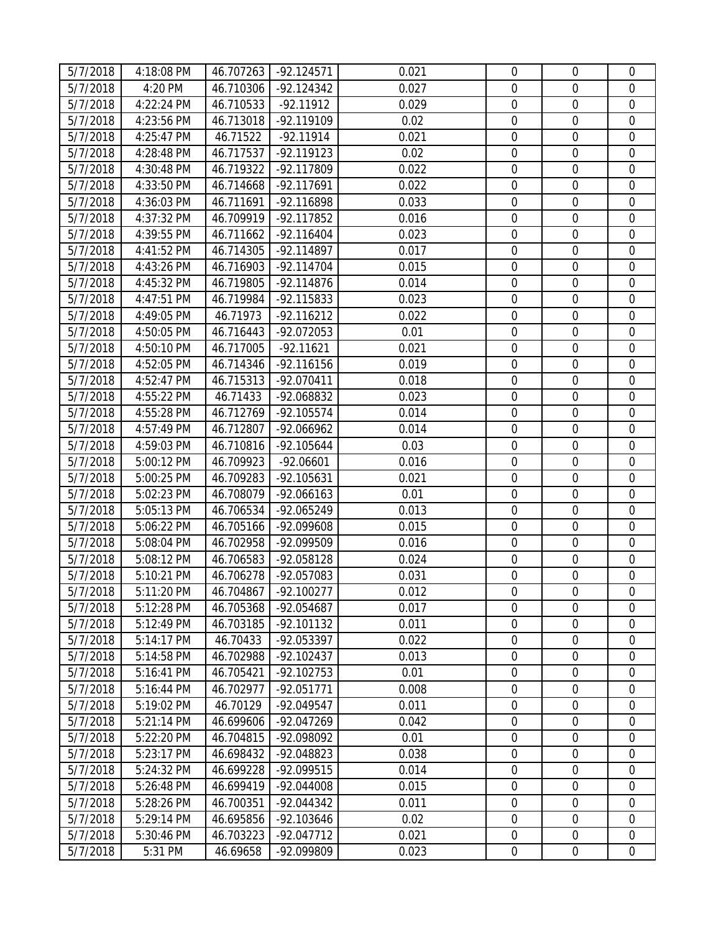| 5/7/2018 | 4:18:08 PM | 46.707263 | $-92.124571$         | 0.021 | $\mathbf 0$      | $\overline{0}$   | $\mathbf 0$      |
|----------|------------|-----------|----------------------|-------|------------------|------------------|------------------|
| 5/7/2018 | 4:20 PM    | 46.710306 | $-92.124342$         | 0.027 | $\mathbf 0$      | $\mathbf 0$      | $\overline{0}$   |
| 5/7/2018 | 4:22:24 PM | 46.710533 | $-92.11912$          | 0.029 | $\mathbf 0$      | $\mathbf 0$      | $\mathbf 0$      |
| 5/7/2018 | 4:23:56 PM | 46.713018 | -92.119109           | 0.02  | $\boldsymbol{0}$ | $\boldsymbol{0}$ | $\mathbf 0$      |
| 5/7/2018 | 4:25:47 PM | 46.71522  | $-92.11914$          | 0.021 | $\overline{0}$   | $\mathbf 0$      | $\mathbf 0$      |
| 5/7/2018 | 4:28:48 PM | 46.717537 | $-92.119123$         | 0.02  | $\mathbf 0$      | $\mathbf 0$      | $\mathbf 0$      |
| 5/7/2018 | 4:30:48 PM | 46.719322 | -92.117809           | 0.022 | $\mathbf 0$      | $\mathbf 0$      | $\mathbf 0$      |
| 5/7/2018 | 4:33:50 PM | 46.714668 | $-92.117691$         | 0.022 | $\mathbf 0$      | $\mathbf 0$      | $\mathbf 0$      |
| 5/7/2018 | 4:36:03 PM | 46.711691 | -92.116898           | 0.033 | $\mathbf 0$      | $\boldsymbol{0}$ | $\mathbf 0$      |
| 5/7/2018 | 4:37:32 PM | 46.709919 | $-92.117852$         | 0.016 | $\mathbf 0$      | $\mathbf 0$      | $\mathbf 0$      |
| 5/7/2018 | 4:39:55 PM | 46.711662 | $-92.116404$         | 0.023 | $\mathbf 0$      | $\boldsymbol{0}$ | $\mathbf 0$      |
| 5/7/2018 | 4:41:52 PM | 46.714305 | $-92.114897$         | 0.017 | $\mathbf 0$      | $\mathbf 0$      | $\mathbf 0$      |
| 5/7/2018 | 4:43:26 PM | 46.716903 | $-92.114704$         | 0.015 | $\mathbf 0$      | $\boldsymbol{0}$ | $\boldsymbol{0}$ |
| 5/7/2018 | 4:45:32 PM | 46.719805 | $-92.114876$         | 0.014 | $\mathbf 0$      | $\boldsymbol{0}$ | $\boldsymbol{0}$ |
| 5/7/2018 | 4:47:51 PM | 46.719984 | $-92.115833$         | 0.023 | $\mathbf 0$      | $\mathbf 0$      | $\mathbf 0$      |
| 5/7/2018 | 4:49:05 PM | 46.71973  | $-92.116212$         | 0.022 | $\boldsymbol{0}$ | $\boldsymbol{0}$ | $\boldsymbol{0}$ |
| 5/7/2018 | 4:50:05 PM | 46.716443 | -92.072053           | 0.01  | $\mathbf 0$      | $\mathbf 0$      | $\boldsymbol{0}$ |
| 5/7/2018 | 4:50:10 PM | 46.717005 | $-92.11621$          | 0.021 | $\mathbf 0$      | $\mathbf 0$      | $\mathbf 0$      |
| 5/7/2018 | 4:52:05 PM | 46.714346 | $-92.116156$         | 0.019 | $\mathbf 0$      | $\mathbf 0$      | $\mathbf 0$      |
| 5/7/2018 | 4:52:47 PM | 46.715313 | $-92.070411$         | 0.018 | $\mathbf 0$      | $\mathbf 0$      | $\mathbf 0$      |
| 5/7/2018 | 4:55:22 PM | 46.71433  | -92.068832           | 0.023 | $\mathbf 0$      | $\boldsymbol{0}$ | $\boldsymbol{0}$ |
| 5/7/2018 | 4:55:28 PM | 46.712769 | $-92.105574$         | 0.014 | $\mathbf 0$      | $\mathbf 0$      | $\mathbf 0$      |
| 5/7/2018 | 4:57:49 PM | 46.712807 | -92.066962           | 0.014 | $\mathbf 0$      | $\mathbf 0$      | $\boldsymbol{0}$ |
| 5/7/2018 | 4:59:03 PM | 46.710816 | -92.105644           | 0.03  | $\mathbf 0$      | $\boldsymbol{0}$ | $\boldsymbol{0}$ |
| 5/7/2018 | 5:00:12 PM | 46.709923 | $-92.06601$          | 0.016 | $\mathbf 0$      | $\mathbf 0$      | $\mathbf 0$      |
| 5/7/2018 | 5:00:25 PM | 46.709283 | -92.105631           | 0.021 | $\mathbf 0$      | $\mathbf 0$      | $\mathbf 0$      |
| 5/7/2018 | 5:02:23 PM | 46.708079 | $-92.066163$         | 0.01  | $\mathbf 0$      | $\mathbf 0$      | $\overline{0}$   |
| 5/7/2018 | 5:05:13 PM | 46.706534 | $-92.065249$         | 0.013 | $\mathbf 0$      | $\boldsymbol{0}$ | $\mathbf 0$      |
| 5/7/2018 | 5:06:22 PM | 46.705166 | -92.099608           | 0.015 | $\mathbf 0$      | $\mathbf 0$      | $\mathbf 0$      |
| 5/7/2018 | 5:08:04 PM | 46.702958 | -92.099509           | 0.016 | $\mathbf 0$      | $\mathbf 0$      | $\mathbf 0$      |
| 5/7/2018 | 5:08:12 PM | 46.706583 | -92.058128           | 0.024 | $\boldsymbol{0}$ | $\boldsymbol{0}$ | $\boldsymbol{0}$ |
| 5/7/2018 | 5:10:21 PM | 46.706278 | -92.057083           | 0.031 | $\mathbf 0$      | $\boldsymbol{0}$ | $\mathbf 0$      |
| 5/7/2018 | 5:11:20 PM |           | 46.704867 -92.100277 | 0.012 | $\boldsymbol{0}$ | $\boldsymbol{0}$ | $\boldsymbol{0}$ |
| 5/7/2018 | 5:12:28 PM | 46.705368 | -92.054687           | 0.017 | $\overline{0}$   | $\mathbf 0$      | 0                |
| 5/7/2018 | 5:12:49 PM | 46.703185 | $-92.101132$         | 0.011 | $\overline{0}$   | $\mathbf 0$      | $\overline{0}$   |
| 5/7/2018 | 5:14:17 PM | 46.70433  | -92.053397           | 0.022 | $\boldsymbol{0}$ | $\mathbf 0$      | $\mathbf 0$      |
| 5/7/2018 | 5:14:58 PM | 46.702988 | $-92.102437$         | 0.013 | $\mathbf 0$      | $\mathbf 0$      | 0                |
| 5/7/2018 | 5:16:41 PM | 46.705421 | $-92.102753$         | 0.01  | $\mathbf 0$      | $\mathbf 0$      | $\boldsymbol{0}$ |
| 5/7/2018 | 5:16:44 PM | 46.702977 | $-92.051771$         | 0.008 | $\mathbf 0$      | $\mathbf 0$      | $\mathbf 0$      |
| 5/7/2018 | 5:19:02 PM | 46.70129  | -92.049547           | 0.011 | $\mathbf 0$      | $\mathbf 0$      | $\mathbf 0$      |
| 5/7/2018 | 5:21:14 PM | 46.699606 | $-92.047269$         | 0.042 | $\boldsymbol{0}$ | $\mathbf 0$      | $\mathbf 0$      |
| 5/7/2018 | 5:22:20 PM | 46.704815 | -92.098092           | 0.01  | $\mathbf 0$      | $\mathbf 0$      | $\mathbf 0$      |
| 5/7/2018 | 5:23:17 PM | 46.698432 | -92.048823           | 0.038 | $\boldsymbol{0}$ | $\boldsymbol{0}$ | $\boldsymbol{0}$ |
| 5/7/2018 | 5:24:32 PM | 46.699228 | -92.099515           | 0.014 | $\overline{0}$   | $\mathbf 0$      | $\mathbf 0$      |
| 5/7/2018 | 5:26:48 PM | 46.699419 | -92.044008           | 0.015 | $\mathbf 0$      | $\mathbf 0$      | $\mathbf 0$      |
| 5/7/2018 | 5:28:26 PM | 46.700351 | $-92.044342$         | 0.011 | $\mathbf 0$      | $\mathbf 0$      | $\boldsymbol{0}$ |
| 5/7/2018 | 5:29:14 PM | 46.695856 | -92.103646           | 0.02  | $\mathbf 0$      | $\mathbf 0$      | 0                |
| 5/7/2018 | 5:30:46 PM | 46.703223 | $-92.047712$         | 0.021 | $\boldsymbol{0}$ | $\boldsymbol{0}$ | $\boldsymbol{0}$ |
| 5/7/2018 | 5:31 PM    | 46.69658  | -92.099809           | 0.023 | $\boldsymbol{0}$ | $\boldsymbol{0}$ | $\boldsymbol{0}$ |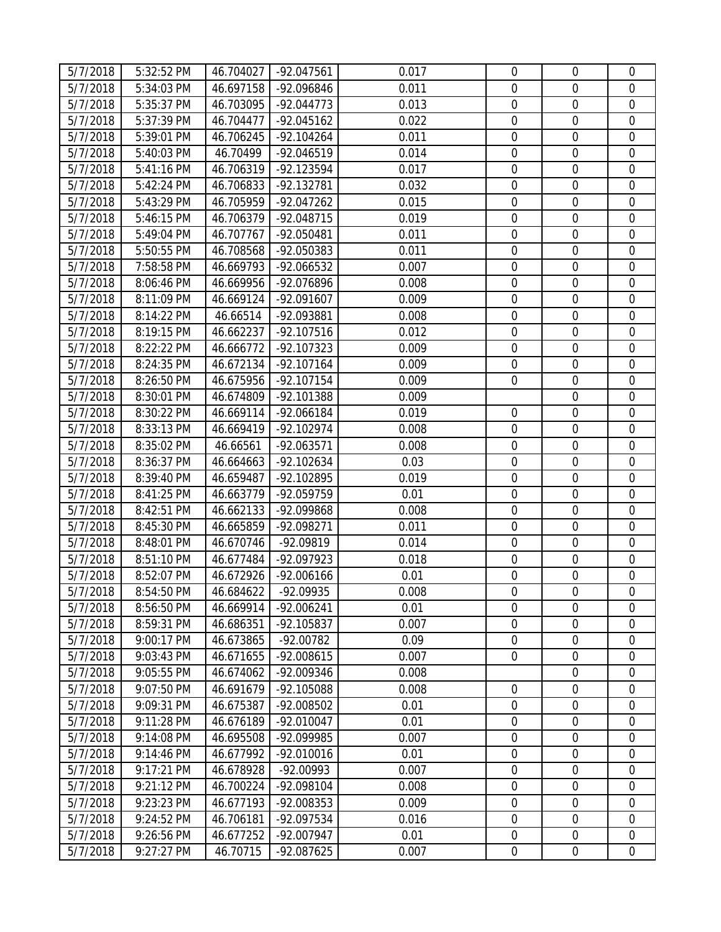| 5/7/2018 | 5:32:52 PM | 46.704027 | -92.047561          | 0.017 | $\mathbf 0$      | $\overline{0}$   | $\mathbf 0$      |
|----------|------------|-----------|---------------------|-------|------------------|------------------|------------------|
| 5/7/2018 | 5:34:03 PM | 46.697158 | -92.096846          | 0.011 | $\mathbf 0$      | $\mathbf 0$      | $\overline{0}$   |
| 5/7/2018 | 5:35:37 PM | 46.703095 | $-92.044773$        | 0.013 | $\mathbf 0$      | $\mathbf 0$      | $\mathbf 0$      |
| 5/7/2018 | 5:37:39 PM | 46.704477 | $-92.045162$        | 0.022 | $\boldsymbol{0}$ | $\boldsymbol{0}$ | $\mathbf 0$      |
| 5/7/2018 | 5:39:01 PM | 46.706245 | $-92.104264$        | 0.011 | $\overline{0}$   | $\mathbf 0$      | $\mathbf 0$      |
| 5/7/2018 | 5:40:03 PM | 46.70499  | $-92.046519$        | 0.014 | $\mathbf 0$      | $\mathbf 0$      | $\mathbf 0$      |
| 5/7/2018 | 5:41:16 PM | 46.706319 | $-92.123594$        | 0.017 | $\mathbf 0$      | $\mathbf 0$      | $\mathbf 0$      |
| 5/7/2018 | 5:42:24 PM | 46.706833 | $-92.132781$        | 0.032 | $\mathbf 0$      | $\mathbf 0$      | $\mathbf 0$      |
| 5/7/2018 | 5:43:29 PM | 46.705959 | $-92.047262$        | 0.015 | $\boldsymbol{0}$ | $\boldsymbol{0}$ | $\mathbf 0$      |
| 5/7/2018 | 5:46:15 PM | 46.706379 | $-92.048715$        | 0.019 | $\mathbf 0$      | $\mathbf 0$      | $\mathbf 0$      |
| 5/7/2018 | 5:49:04 PM | 46.707767 | -92.050481          | 0.011 | $\mathbf 0$      | $\boldsymbol{0}$ | $\mathbf 0$      |
| 5/7/2018 | 5:50:55 PM | 46.708568 | -92.050383          | 0.011 | $\mathbf 0$      | $\mathbf 0$      | $\mathbf 0$      |
| 5/7/2018 | 7:58:58 PM | 46.669793 | $-92.066532$        | 0.007 | $\mathbf 0$      | $\boldsymbol{0}$ | $\boldsymbol{0}$ |
| 5/7/2018 | 8:06:46 PM | 46.669956 | -92.076896          | 0.008 | $\mathbf 0$      | $\boldsymbol{0}$ | $\boldsymbol{0}$ |
| 5/7/2018 | 8:11:09 PM | 46.669124 | -92.091607          | 0.009 | $\mathbf 0$      | $\mathbf 0$      | $\mathbf 0$      |
| 5/7/2018 | 8:14:22 PM | 46.66514  | -92.093881          | 0.008 | $\boldsymbol{0}$ | $\boldsymbol{0}$ | $\boldsymbol{0}$ |
| 5/7/2018 | 8:19:15 PM | 46.662237 | $-92.107516$        | 0.012 | $\mathbf 0$      | $\mathbf 0$      | $\boldsymbol{0}$ |
| 5/7/2018 | 8:22:22 PM | 46.666772 | $-92.107323$        | 0.009 | $\mathbf 0$      | $\mathbf 0$      | $\boldsymbol{0}$ |
| 5/7/2018 | 8:24:35 PM | 46.672134 | $-92.107164$        | 0.009 | $\mathbf 0$      | $\mathbf 0$      | $\mathbf 0$      |
| 5/7/2018 | 8:26:50 PM | 46.675956 | $-92.107154$        | 0.009 | $\mathbf 0$      | $\mathbf 0$      | $\mathbf 0$      |
| 5/7/2018 | 8:30:01 PM | 46.674809 | $-92.101388$        | 0.009 |                  | $\boldsymbol{0}$ | $\boldsymbol{0}$ |
| 5/7/2018 | 8:30:22 PM | 46.669114 | -92.066184          | 0.019 | $\mathbf 0$      | $\mathbf 0$      | $\mathbf 0$      |
| 5/7/2018 | 8:33:13 PM | 46.669419 | $-92.102974$        | 0.008 | $\mathbf 0$      | $\boldsymbol{0}$ | $\boldsymbol{0}$ |
| 5/7/2018 | 8:35:02 PM | 46.66561  | -92.063571          | 0.008 | $\boldsymbol{0}$ | $\boldsymbol{0}$ | $\boldsymbol{0}$ |
| 5/7/2018 | 8:36:37 PM | 46.664663 | $-92.102634$        | 0.03  | $\mathbf 0$      | $\mathbf 0$      | $\mathbf 0$      |
| 5/7/2018 | 8:39:40 PM | 46.659487 | $-92.102895$        | 0.019 | $\boldsymbol{0}$ | $\boldsymbol{0}$ | $\mathbf 0$      |
| 5/7/2018 | 8:41:25 PM | 46.663779 | -92.059759          | 0.01  | $\mathbf 0$      | $\mathbf 0$      | $\overline{0}$   |
| 5/7/2018 | 8:42:51 PM | 46.662133 | -92.099868          | 0.008 | $\mathbf 0$      | $\boldsymbol{0}$ | $\mathbf 0$      |
| 5/7/2018 | 8:45:30 PM | 46.665859 | -92.098271          | 0.011 | $\mathbf 0$      | $\mathbf 0$      | $\mathbf 0$      |
| 5/7/2018 | 8:48:01 PM | 46.670746 | $-92.09819$         | 0.014 | $\mathbf 0$      | $\mathbf 0$      | $\boldsymbol{0}$ |
| 5/7/2018 | 8:51:10 PM | 46.677484 | -92.097923          | 0.018 | $\boldsymbol{0}$ | $\boldsymbol{0}$ | $\boldsymbol{0}$ |
| 5/7/2018 | 8:52:07 PM | 46.672926 | $-92.006166$        | 0.01  | $\mathbf 0$      | $\boldsymbol{0}$ | $\mathbf 0$      |
| 5/7/2018 | 8:54:50 PM |           | 46.684622 -92.09935 | 0.008 | $\boldsymbol{0}$ | $\boldsymbol{0}$ | $\boldsymbol{0}$ |
| 5/7/2018 | 8:56:50 PM | 46.669914 | $-92.006241$        | 0.01  | $\mathbf 0$      | $\mathbf 0$      | 0                |
| 5/7/2018 | 8:59:31 PM | 46.686351 | -92.105837          | 0.007 | $\overline{0}$   | $\mathbf 0$      | $\overline{0}$   |
| 5/7/2018 | 9:00:17 PM | 46.673865 | $-92.00782$         | 0.09  | $\mathbf 0$      | $\mathbf 0$      | $\mathbf 0$      |
| 5/7/2018 | 9:03:43 PM | 46.671655 | $-92.008615$        | 0.007 | $\mathbf 0$      | $\mathbf 0$      | $\mathbf 0$      |
| 5/7/2018 | 9:05:55 PM | 46.674062 | -92.009346          | 0.008 |                  | $\mathbf 0$      | $\boldsymbol{0}$ |
| 5/7/2018 | 9:07:50 PM | 46.691679 | -92.105088          | 0.008 | $\mathbf 0$      | $\mathbf 0$      | $\mathbf 0$      |
| 5/7/2018 | 9:09:31 PM | 46.675387 | -92.008502          | 0.01  | $\mathbf 0$      | $\boldsymbol{0}$ | $\mathbf 0$      |
| 5/7/2018 | 9:11:28 PM | 46.676189 | $-92.010047$        | 0.01  | $\boldsymbol{0}$ | $\mathbf 0$      | $\mathbf 0$      |
| 5/7/2018 | 9:14:08 PM | 46.695508 | -92.099985          | 0.007 | $\mathbf 0$      | $\mathbf 0$      | $\mathbf 0$      |
| 5/7/2018 | 9:14:46 PM | 46.677992 | $-92.010016$        | 0.01  | $\boldsymbol{0}$ | $\boldsymbol{0}$ | $\boldsymbol{0}$ |
| 5/7/2018 | 9:17:21 PM | 46.678928 | $-92.00993$         | 0.007 | $\mathbf 0$      | $\mathbf 0$      | 0                |
| 5/7/2018 | 9:21:12 PM | 46.700224 | -92.098104          | 0.008 | $\mathbf 0$      | $\overline{0}$   | $\mathbf 0$      |
| 5/7/2018 | 9:23:23 PM | 46.677193 | $-92.008353$        | 0.009 | $\mathbf 0$      | $\mathbf 0$      | $\mathbf 0$      |
| 5/7/2018 | 9:24:52 PM | 46.706181 | -92.097534          | 0.016 | $\mathbf 0$      | $\boldsymbol{0}$ | $\boldsymbol{0}$ |
| 5/7/2018 | 9:26:56 PM | 46.677252 | -92.007947          | 0.01  | $\boldsymbol{0}$ | $\boldsymbol{0}$ | $\boldsymbol{0}$ |
| 5/7/2018 | 9:27:27 PM | 46.70715  | -92.087625          | 0.007 | $\boldsymbol{0}$ | $\boldsymbol{0}$ | $\boldsymbol{0}$ |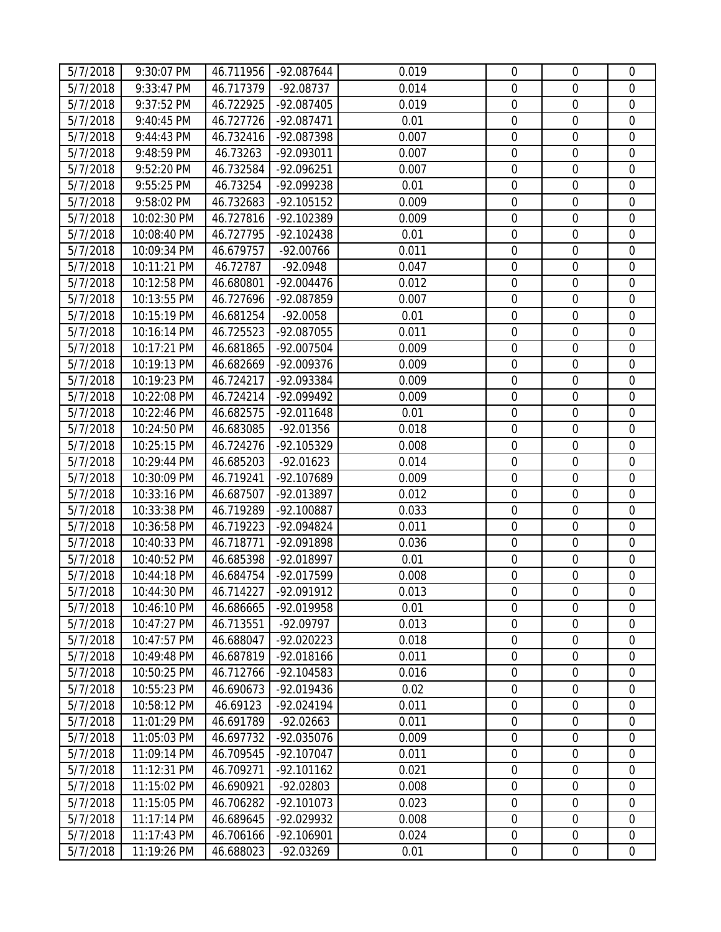| 5/7/2018 | 9:30:07 PM  | 46.711956 | -92.087644           | 0.019 | $\mathbf 0$      | $\overline{0}$   | $\mathbf 0$      |
|----------|-------------|-----------|----------------------|-------|------------------|------------------|------------------|
| 5/7/2018 | 9:33:47 PM  | 46.717379 | $-92.08737$          | 0.014 | $\mathbf 0$      | $\mathbf 0$      | $\overline{0}$   |
| 5/7/2018 | 9:37:52 PM  | 46.722925 | -92.087405           | 0.019 | $\mathbf 0$      | $\boldsymbol{0}$ | $\mathbf 0$      |
| 5/7/2018 | 9:40:45 PM  | 46.727726 | -92.087471           | 0.01  | $\boldsymbol{0}$ | $\boldsymbol{0}$ | $\mathbf 0$      |
| 5/7/2018 | 9:44:43 PM  | 46.732416 | -92.087398           | 0.007 | $\overline{0}$   | $\mathbf 0$      | $\mathbf 0$      |
| 5/7/2018 | 9:48:59 PM  | 46.73263  | -92.093011           | 0.007 | $\mathbf 0$      | $\mathbf 0$      | $\mathbf 0$      |
| 5/7/2018 | 9:52:20 PM  | 46.732584 | -92.096251           | 0.007 | $\mathbf 0$      | $\mathbf 0$      | $\mathbf 0$      |
| 5/7/2018 | 9:55:25 PM  | 46.73254  | -92.099238           | 0.01  | $\mathbf 0$      | $\mathbf 0$      | $\mathbf 0$      |
| 5/7/2018 | 9:58:02 PM  | 46.732683 | $-92.105152$         | 0.009 | $\boldsymbol{0}$ | $\boldsymbol{0}$ | $\mathbf 0$      |
| 5/7/2018 | 10:02:30 PM | 46.727816 | -92.102389           | 0.009 | $\mathbf 0$      | $\boldsymbol{0}$ | $\boldsymbol{0}$ |
| 5/7/2018 | 10:08:40 PM | 46.727795 | $-92.102438$         | 0.01  | $\boldsymbol{0}$ | $\boldsymbol{0}$ | $\mathbf 0$      |
| 5/7/2018 | 10:09:34 PM | 46.679757 | $-92.00766$          | 0.011 | $\mathbf 0$      | $\mathbf 0$      | $\mathbf 0$      |
| 5/7/2018 | 10:11:21 PM | 46.72787  | $-92.0948$           | 0.047 | $\mathbf 0$      | $\boldsymbol{0}$ | $\boldsymbol{0}$ |
| 5/7/2018 | 10:12:58 PM | 46.680801 | $-92.004476$         | 0.012 | $\mathbf 0$      | $\boldsymbol{0}$ | $\boldsymbol{0}$ |
| 5/7/2018 | 10:13:55 PM | 46.727696 | -92.087859           | 0.007 | $\mathbf 0$      | $\mathbf 0$      | $\mathbf 0$      |
| 5/7/2018 | 10:15:19 PM | 46.681254 | $-92.0058$           | 0.01  | $\boldsymbol{0}$ | $\boldsymbol{0}$ | $\boldsymbol{0}$ |
| 5/7/2018 | 10:16:14 PM | 46.725523 | -92.087055           | 0.011 | $\mathbf 0$      | $\boldsymbol{0}$ | $\boldsymbol{0}$ |
| 5/7/2018 | 10:17:21 PM | 46.681865 | -92.007504           | 0.009 | $\mathbf 0$      | $\mathbf 0$      | $\boldsymbol{0}$ |
| 5/7/2018 | 10:19:13 PM | 46.682669 | -92.009376           | 0.009 | $\mathbf 0$      | $\mathbf 0$      | $\mathbf 0$      |
| 5/7/2018 | 10:19:23 PM | 46.724217 | -92.093384           | 0.009 | $\mathbf 0$      | $\boldsymbol{0}$ | $\mathbf 0$      |
| 5/7/2018 | 10:22:08 PM | 46.724214 | -92.099492           | 0.009 | $\mathbf 0$      | $\boldsymbol{0}$ | $\boldsymbol{0}$ |
| 5/7/2018 | 10:22:46 PM | 46.682575 | $-92.011648$         | 0.01  | $\mathbf 0$      | $\mathbf 0$      | $\mathbf 0$      |
| 5/7/2018 | 10:24:50 PM | 46.683085 | $-92.01356$          | 0.018 | $\mathbf 0$      | $\boldsymbol{0}$ | $\boldsymbol{0}$ |
| 5/7/2018 | 10:25:15 PM | 46.724276 | -92.105329           | 0.008 | $\boldsymbol{0}$ | $\boldsymbol{0}$ | $\boldsymbol{0}$ |
| 5/7/2018 | 10:29:44 PM | 46.685203 | $-92.01623$          | 0.014 | $\mathbf 0$      | $\mathbf 0$      | $\mathbf 0$      |
| 5/7/2018 | 10:30:09 PM | 46.719241 | -92.107689           | 0.009 | $\boldsymbol{0}$ | $\boldsymbol{0}$ | $\mathbf 0$      |
| 5/7/2018 | 10:33:16 PM | 46.687507 | -92.013897           | 0.012 | $\mathbf 0$      | $\mathbf 0$      | $\overline{0}$   |
| 5/7/2018 | 10:33:38 PM | 46.719289 | $-92.100887$         | 0.033 | $\mathbf 0$      | $\boldsymbol{0}$ | $\mathbf 0$      |
| 5/7/2018 | 10:36:58 PM | 46.719223 | -92.094824           | 0.011 | $\mathbf 0$      | $\mathbf 0$      | $\mathbf 0$      |
| 5/7/2018 | 10:40:33 PM | 46.718771 | -92.091898           | 0.036 | $\mathbf 0$      | $\mathbf 0$      | $\boldsymbol{0}$ |
| 5/7/2018 | 10:40:52 PM | 46.685398 | -92.018997           | 0.01  | $\boldsymbol{0}$ | $\boldsymbol{0}$ | $\boldsymbol{0}$ |
| 5/7/2018 | 10:44:18 PM | 46.684754 | -92.017599           | 0.008 | $\mathbf 0$      | $\boldsymbol{0}$ | $\mathbf 0$      |
| 5/7/2018 | 10:44:30 PM |           | 46.714227 -92.091912 | 0.013 | $\boldsymbol{0}$ | $\boldsymbol{0}$ | $\boldsymbol{0}$ |
| 5/7/2018 | 10:46:10 PM | 46.686665 | -92.019958           | 0.01  | $\overline{0}$   | $\overline{0}$   | 0                |
| 5/7/2018 | 10:47:27 PM | 46.713551 | $-92.09797$          | 0.013 | $\overline{0}$   | $\mathbf 0$      | $\mathbf{0}$     |
| 5/7/2018 | 10:47:57 PM | 46.688047 | -92.020223           | 0.018 | $\mathbf 0$      | $\mathbf 0$      | $\mathbf 0$      |
| 5/7/2018 | 10:49:48 PM | 46.687819 | $-92.018166$         | 0.011 | $\mathbf 0$      | $\mathbf 0$      | $\boldsymbol{0}$ |
| 5/7/2018 | 10:50:25 PM | 46.712766 | $-92.104583$         | 0.016 | $\mathbf 0$      | $\mathbf 0$      | $\boldsymbol{0}$ |
| 5/7/2018 | 10:55:23 PM | 46.690673 | -92.019436           | 0.02  | $\mathbf 0$      | $\mathbf 0$      | $\mathbf 0$      |
| 5/7/2018 | 10:58:12 PM | 46.69123  | $-92.024194$         | 0.011 | $\mathbf 0$      | $\mathbf 0$      | $\mathbf 0$      |
| 5/7/2018 | 11:01:29 PM | 46.691789 | $-92.02663$          | 0.011 | $\boldsymbol{0}$ | $\mathbf 0$      | $\mathbf 0$      |
| 5/7/2018 | 11:05:03 PM | 46.697732 | -92.035076           | 0.009 | $\mathbf 0$      | $\mathbf 0$      | $\mathbf 0$      |
| 5/7/2018 | 11:09:14 PM | 46.709545 | $-92.107047$         | 0.011 | $\boldsymbol{0}$ | $\boldsymbol{0}$ | $\boldsymbol{0}$ |
| 5/7/2018 | 11:12:31 PM | 46.709271 | $-92.101162$         | 0.021 | $\mathbf 0$      | $\mathbf 0$      | $\mathbf 0$      |
| 5/7/2018 | 11:15:02 PM | 46.690921 | $-92.02803$          | 0.008 | $\mathbf 0$      | $\overline{0}$   | $\mathbf 0$      |
| 5/7/2018 | 11:15:05 PM | 46.706282 | $-92.101073$         | 0.023 | $\mathbf 0$      | $\mathbf 0$      | $\overline{0}$   |
| 5/7/2018 | 11:17:14 PM | 46.689645 | -92.029932           | 0.008 | $\boldsymbol{0}$ | $\mathbf 0$      | 0                |
| 5/7/2018 | 11:17:43 PM | 46.706166 | -92.106901           | 0.024 | $\mathbf 0$      | $\boldsymbol{0}$ | $\boldsymbol{0}$ |
| 5/7/2018 | 11:19:26 PM | 46.688023 | $-92.03269$          | 0.01  | $\boldsymbol{0}$ | $\boldsymbol{0}$ | $\boldsymbol{0}$ |